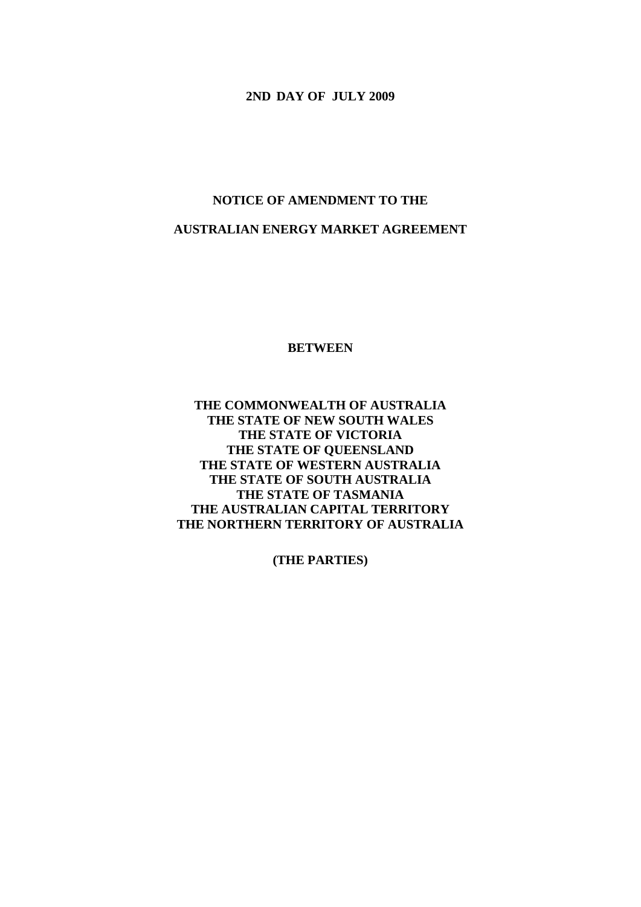**2ND DAY OF JULY 2009** 

# **NOTICE OF AMENDMENT TO THE AUSTRALIAN ENERGY MARKET AGREEMENT**

**BETWEEN** 

**THE COMMONWEALTH OF AUSTRALIA THE STATE OF NEW SOUTH WALES THE STATE OF VICTORIA THE STATE OF QUEENSLAND THE STATE OF WESTERN AUSTRALIA THE STATE OF SOUTH AUSTRALIA THE STATE OF TASMANIA THE AUSTRALIAN CAPITAL TERRITORY THE NORTHERN TERRITORY OF AUSTRALIA** 

**(THE PARTIES)**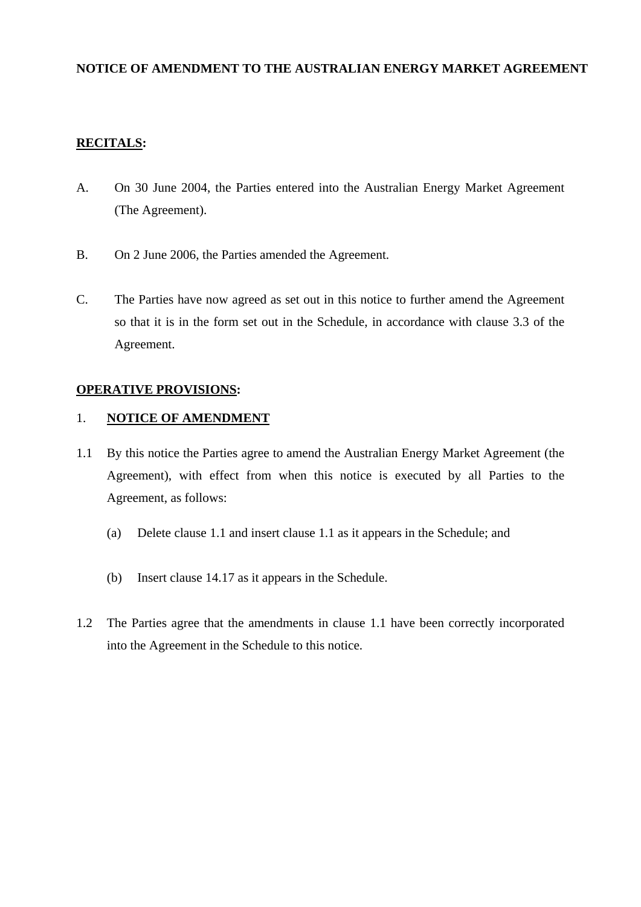#### **NOTICE OF AMENDMENT TO THE AUSTRALIAN ENERGY MARKET AGREEMENT**

# **RECITALS:**

- A. On 30 June 2004, the Parties entered into the Australian Energy Market Agreement (The Agreement).
- B. On 2 June 2006, the Parties amended the Agreement.
- C. The Parties have now agreed as set out in this notice to further amend the Agreement so that it is in the form set out in the Schedule, in accordance with clause 3.3 of the Agreement.

# **OPERATIVE PROVISIONS:**

#### 1. **NOTICE OF AMENDMENT**

- 1.1 By this notice the Parties agree to amend the Australian Energy Market Agreement (the Agreement), with effect from when this notice is executed by all Parties to the Agreement, as follows:
	- (a) Delete clause 1.1 and insert clause 1.1 as it appears in the Schedule; and
	- (b) Insert clause 14.17 as it appears in the Schedule.
- 1.2 The Parties agree that the amendments in clause 1.1 have been correctly incorporated into the Agreement in the Schedule to this notice.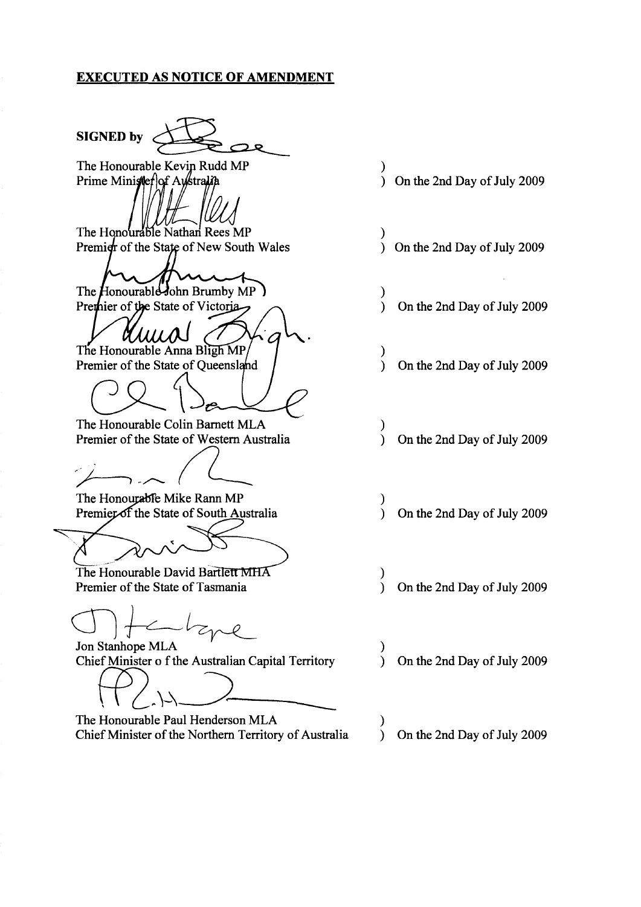#### **EXECUTED AS NOTICE OF AMENDMENT**

**SIGNED by** 

The Honourable Kevin Rudd MP Prime Minister of Australia

The Honourable Nathan Rees MP Premier of the State of New South Wales

The Honourable John Brumby MP) Premier of the State of Victoria

The Honourable Anna Bligh MP

Premier of the State of Queensland

The Honourable Colin Barnett MLA Premier of the State of Western Australia

The Honourable Mike Rann MP Premier of the State of South Australia

The Honourable David Bartlett MHA Premier of the State of Tasmania

Jon Stanhope MLA Chief Minister o f the Australian Capital Territory

The Honourable Paul Henderson MLA Chief Minister of the Northern Territory of Australia

- $\lambda$ ) On the 2nd Day of July 2009
- On the 2nd Day of July 2009  $\lambda$
- $\lambda$ On the 2nd Day of July 2009  $\lambda$
- $\mathcal{E}$ On the 2nd Day of July 2009  $\lambda$
- $\mathcal{E}$ On the 2nd Day of July 2009  $\mathcal{L}$
- $\mathcal{E}$  $\lambda$ On the 2nd Day of July 2009
- $\mathcal{E}$ On the 2nd Day of July 2009
- On the 2nd Day of July 2009  $\lambda$
- On the 2nd Day of July 2009  $\mathcal{L}$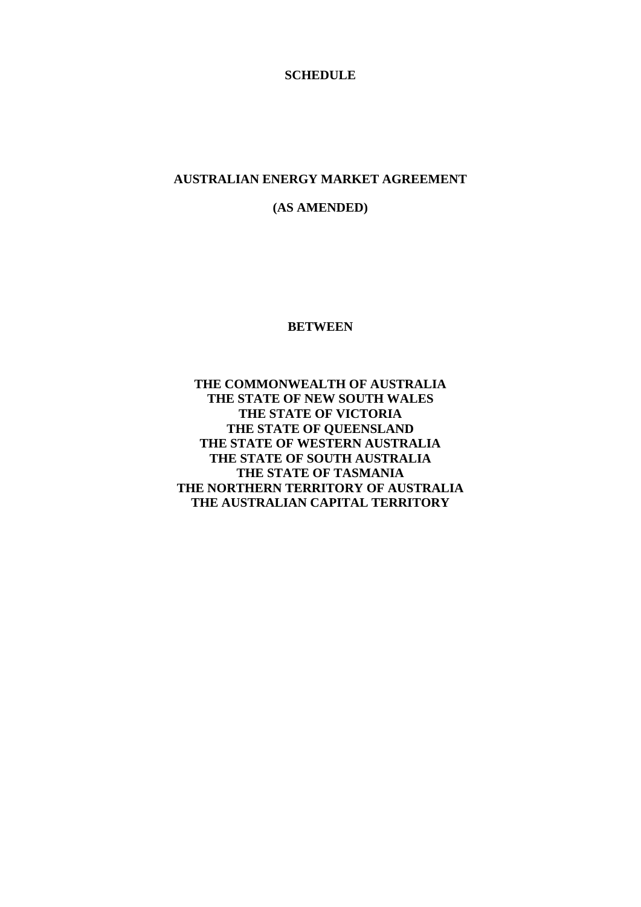#### **SCHEDULE**

#### **AUSTRALIAN ENERGY MARKET AGREEMENT**

# **(AS AMENDED)**

#### **BETWEEN**

**THE COMMONWEALTH OF AUSTRALIA THE STATE OF NEW SOUTH WALES THE STATE OF VICTORIA THE STATE OF QUEENSLAND THE STATE OF WESTERN AUSTRALIA THE STATE OF SOUTH AUSTRALIA THE STATE OF TASMANIA THE NORTHERN TERRITORY OF AUSTRALIA THE AUSTRALIAN CAPITAL TERRITORY**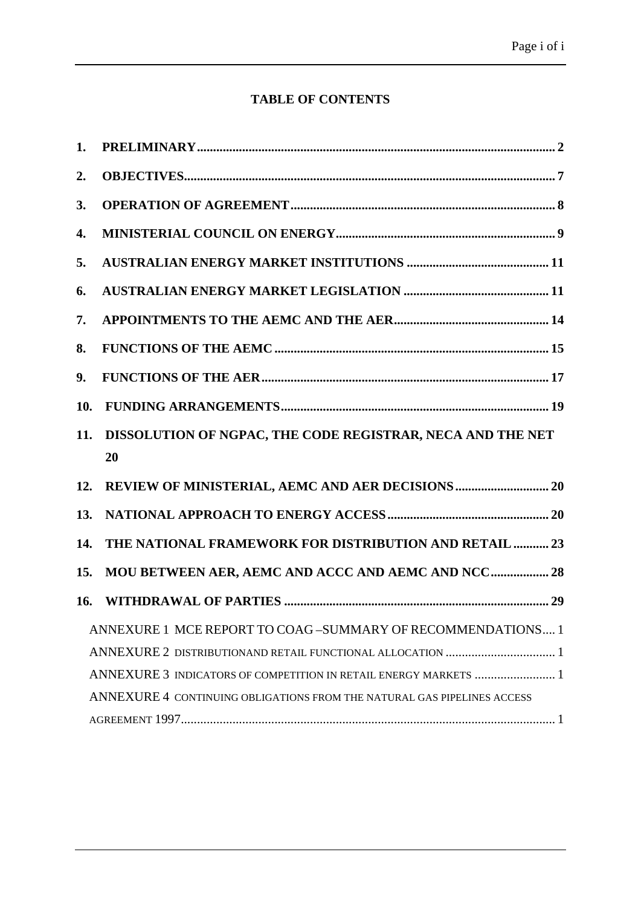# **TABLE OF CONTENTS**

| 1.                                                                      |                                                            |
|-------------------------------------------------------------------------|------------------------------------------------------------|
| 2.                                                                      |                                                            |
| 3.                                                                      |                                                            |
| 4.                                                                      |                                                            |
| 5.                                                                      |                                                            |
| 6.                                                                      |                                                            |
| 7.                                                                      |                                                            |
| 8.                                                                      |                                                            |
| 9.                                                                      |                                                            |
| 10.                                                                     |                                                            |
| 11.                                                                     | DISSOLUTION OF NGPAC, THE CODE REGISTRAR, NECA AND THE NET |
|                                                                         | 20                                                         |
| 12.                                                                     |                                                            |
| 13.                                                                     |                                                            |
| 14.                                                                     | THE NATIONAL FRAMEWORK FOR DISTRIBUTION AND RETAIL  23     |
| 15.                                                                     | MOU BETWEEN AER, AEMC AND ACCC AND AEMC AND NCC 28         |
| 16.                                                                     |                                                            |
|                                                                         | ANNEXURE 1 MCE REPORT TO COAG-SUMMARY OF RECOMMENDATIONS 1 |
|                                                                         |                                                            |
| ANNEXURE 3 INDICATORS OF COMPETITION IN RETAIL ENERGY MARKETS  1        |                                                            |
| ANNEXURE 4 CONTINUING OBLIGATIONS FROM THE NATURAL GAS PIPELINES ACCESS |                                                            |
|                                                                         |                                                            |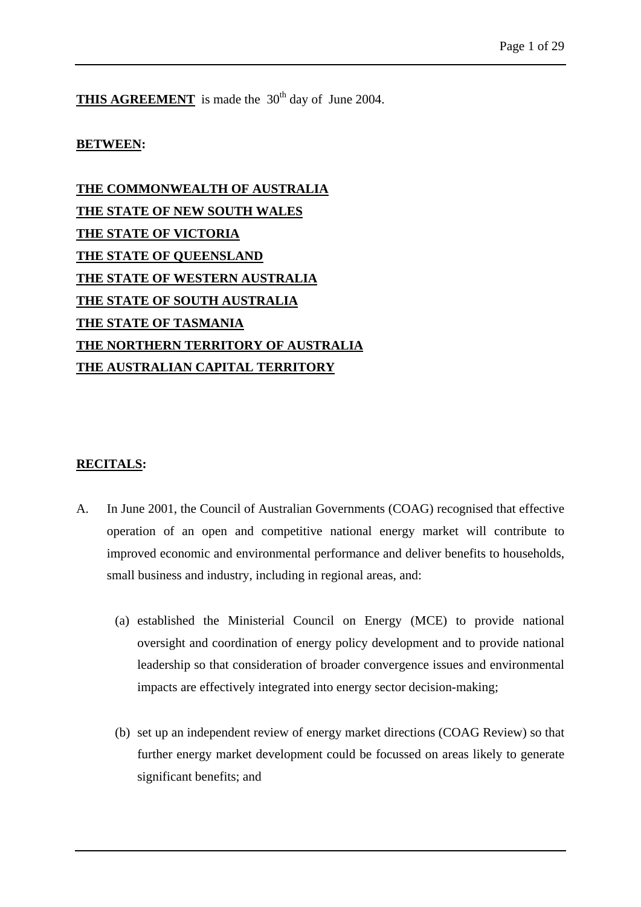**THIS AGREEMENT** is made the 30<sup>th</sup> day of June 2004.

#### **BETWEEN:**

**THE COMMONWEALTH OF AUSTRALIA THE STATE OF NEW SOUTH WALES THE STATE OF VICTORIA THE STATE OF QUEENSLAND THE STATE OF WESTERN AUSTRALIA THE STATE OF SOUTH AUSTRALIA THE STATE OF TASMANIA THE NORTHERN TERRITORY OF AUSTRALIA THE AUSTRALIAN CAPITAL TERRITORY**

#### **RECITALS:**

- A. In June 2001, the Council of Australian Governments (COAG) recognised that effective operation of an open and competitive national energy market will contribute to improved economic and environmental performance and deliver benefits to households, small business and industry, including in regional areas, and:
	- (a) established the Ministerial Council on Energy (MCE) to provide national oversight and coordination of energy policy development and to provide national leadership so that consideration of broader convergence issues and environmental impacts are effectively integrated into energy sector decision-making;
	- (b) set up an independent review of energy market directions (COAG Review) so that further energy market development could be focussed on areas likely to generate significant benefits; and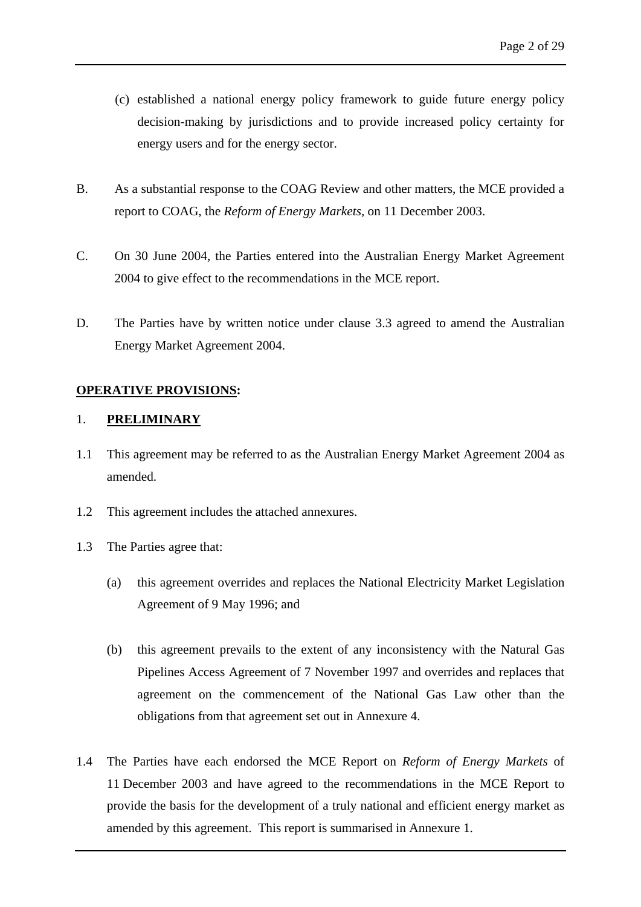- (c) established a national energy policy framework to guide future energy policy decision-making by jurisdictions and to provide increased policy certainty for energy users and for the energy sector.
- B. As a substantial response to the COAG Review and other matters, the MCE provided a report to COAG, the *Reform of Energy Markets,* on 11 December 2003.
- C. On 30 June 2004, the Parties entered into the Australian Energy Market Agreement 2004 to give effect to the recommendations in the MCE report.
- D. The Parties have by written notice under clause 3.3 agreed to amend the Australian Energy Market Agreement 2004.

#### **OPERATIVE PROVISIONS:**

# <span id="page-6-0"></span>1. **PRELIMINARY**

- 1.1 This agreement may be referred to as the Australian Energy Market Agreement 2004 as amended.
- 1.2 This agreement includes the attached annexures.
- 1.3 The Parties agree that:
	- (a) this agreement overrides and replaces the National Electricity Market Legislation Agreement of 9 May 1996; and
	- (b) this agreement prevails to the extent of any inconsistency with the Natural Gas Pipelines Access Agreement of 7 November 1997 and overrides and replaces that agreement on the commencement of the National Gas Law other than the obligations from that agreement set out in Annexure 4.
- 1.4 The Parties have each endorsed the MCE Report on *Reform of Energy Markets* of 11 December 2003 and have agreed to the recommendations in the MCE Report to provide the basis for the development of a truly national and efficient energy market as amended by this agreement. This report is summarised in Annexure 1.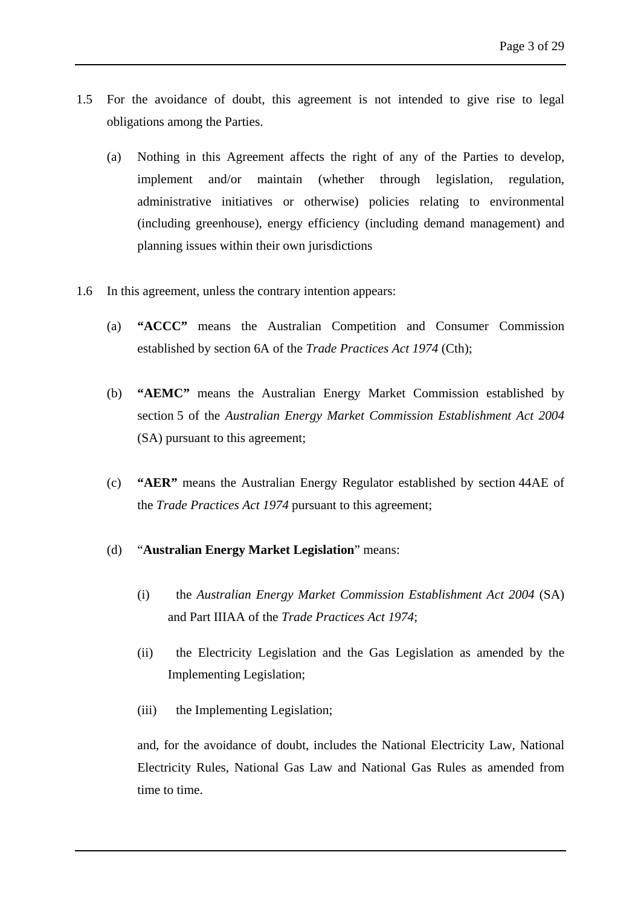- 1.5 For the avoidance of doubt, this agreement is not intended to give rise to legal obligations among the Parties.
	- (a) Nothing in this Agreement affects the right of any of the Parties to develop, implement and/or maintain (whether through legislation, regulation, administrative initiatives or otherwise) policies relating to environmental (including greenhouse), energy efficiency (including demand management) and planning issues within their own jurisdictions
- 1.6 In this agreement, unless the contrary intention appears:
	- (a) **"ACCC"** means the Australian Competition and Consumer Commission established by section 6A of the *Trade Practices Act 1974* (Cth);
	- (b) **"AEMC"** means the Australian Energy Market Commission established by section 5 of the *Australian Energy Market Commission Establishment Act 2004*  (SA) pursuant to this agreement;
	- (c) **"AER"** means the Australian Energy Regulator established by section 44AE of the *Trade Practices Act 1974* pursuant to this agreement;
	- (d) "**Australian Energy Market Legislation**" means:
		- (i) the *Australian Energy Market Commission Establishment Act 2004* (SA) and Part IIIAA of the *Trade Practices Act 1974*;
		- (ii) the Electricity Legislation and the Gas Legislation as amended by the Implementing Legislation;
		- (iii) the Implementing Legislation;

and, for the avoidance of doubt, includes the National Electricity Law, National Electricity Rules, National Gas Law and National Gas Rules as amended from time to time.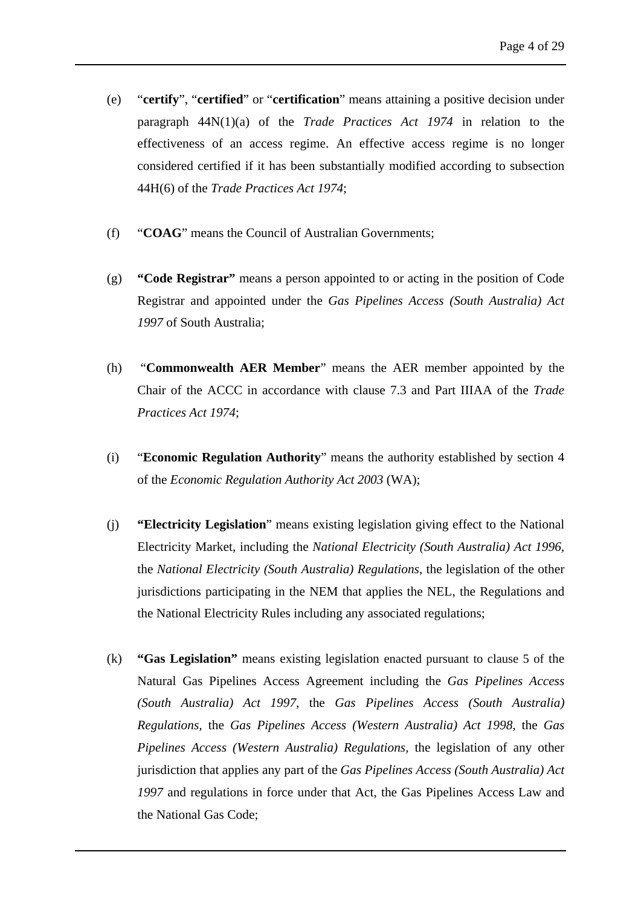- (e) "**certify**", "**certified**" or "**certification**" means attaining a positive decision under paragraph 44N(1)(a) of the *Trade Practices Act 1974* in relation to the effectiveness of an access regime. An effective access regime is no longer considered certified if it has been substantially modified according to subsection 44H(6) of the *Trade Practices Act 1974*;
- (f) "**COAG**" means the Council of Australian Governments;
- (g) **"Code Registrar"** means a person appointed to or acting in the position of Code Registrar and appointed under the *Gas Pipelines Access (South Australia) Act 1997* of South Australia;
- (h) "**Commonwealth AER Member**" means the AER member appointed by the Chair of the ACCC in accordance with clause 7.3 and Part IIIAA of the *Trade Practices Act 1974*;
- (i) "**Economic Regulation Authority**" means the authority established by section 4 of the *Economic Regulation Authority Act 2003* (WA);
- (j) **"Electricity Legislation**" means existing legislation giving effect to the National Electricity Market, including the *National Electricity (South Australia) Act 1996,*  the *National Electricity (South Australia) Regulations*, the legislation of the other jurisdictions participating in the NEM that applies the NEL, the Regulations and the National Electricity Rules including any associated regulations;
- (k) **"Gas Legislation"** means existing legislation enacted pursuant to clause 5 of the Natural Gas Pipelines Access Agreement including the *Gas Pipelines Access (South Australia) Act 1997*, the *Gas Pipelines Access (South Australia) Regulations,* the *Gas Pipelines Access (Western Australia) Act 1998,* the *Gas Pipelines Access (Western Australia) Regulations,* the legislation of any other jurisdiction that applies any part of the *Gas Pipelines Access (South Australia) Act 1997* and regulations in force under that Act, the Gas Pipelines Access Law and the National Gas Code;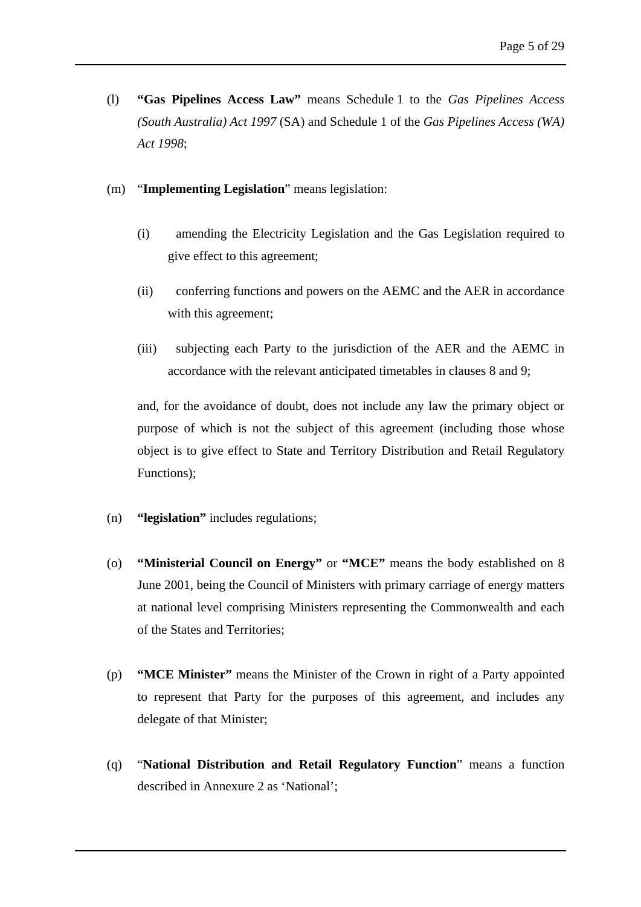- (l) **"Gas Pipelines Access Law"** means Schedule 1 to the *Gas Pipelines Access (South Australia) Act 1997* (SA) and Schedule 1 of the *Gas Pipelines Access (WA) Act 1998*;
- (m) "**Implementing Legislation**" means legislation:
	- (i) amending the Electricity Legislation and the Gas Legislation required to give effect to this agreement;
	- (ii) conferring functions and powers on the AEMC and the AER in accordance with this agreement;
	- (iii) subjecting each Party to the jurisdiction of the AER and the AEMC in accordance with the relevant anticipated timetables in clauses 8 and 9;

and, for the avoidance of doubt, does not include any law the primary object or purpose of which is not the subject of this agreement (including those whose object is to give effect to State and Territory Distribution and Retail Regulatory Functions);

- (n) **"legislation"** includes regulations;
- (o) **"Ministerial Council on Energy"** or **"MCE"** means the body established on 8 June 2001, being the Council of Ministers with primary carriage of energy matters at national level comprising Ministers representing the Commonwealth and each of the States and Territories;
- (p) **"MCE Minister"** means the Minister of the Crown in right of a Party appointed to represent that Party for the purposes of this agreement, and includes any delegate of that Minister;
- (q) "**National Distribution and Retail Regulatory Function**" means a function described in Annexure 2 as 'National';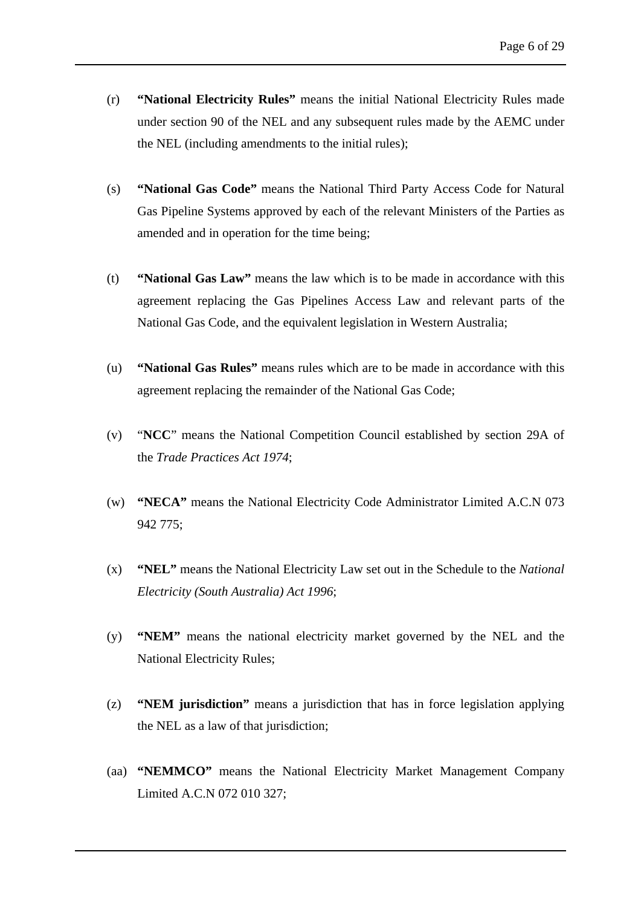- (r) **"National Electricity Rules"** means the initial National Electricity Rules made under section 90 of the NEL and any subsequent rules made by the AEMC under the NEL (including amendments to the initial rules);
- (s) **"National Gas Code"** means the National Third Party Access Code for Natural Gas Pipeline Systems approved by each of the relevant Ministers of the Parties as amended and in operation for the time being;
- (t) **"National Gas Law"** means the law which is to be made in accordance with this agreement replacing the Gas Pipelines Access Law and relevant parts of the National Gas Code, and the equivalent legislation in Western Australia;
- (u) **"National Gas Rules"** means rules which are to be made in accordance with this agreement replacing the remainder of the National Gas Code;
- (v) "**NCC**" means the National Competition Council established by section 29A of the *Trade Practices Act 1974*;
- (w) **"NECA"** means the National Electricity Code Administrator Limited A.C.N 073 942 775;
- (x) **"NEL"** means the National Electricity Law set out in the Schedule to the *National Electricity (South Australia) Act 1996*;
- (y) **"NEM"** means the national electricity market governed by the NEL and the National Electricity Rules;
- (z) **"NEM jurisdiction"** means a jurisdiction that has in force legislation applying the NEL as a law of that jurisdiction;
- (aa) **"NEMMCO"** means the National Electricity Market Management Company Limited A.C.N 072 010 327;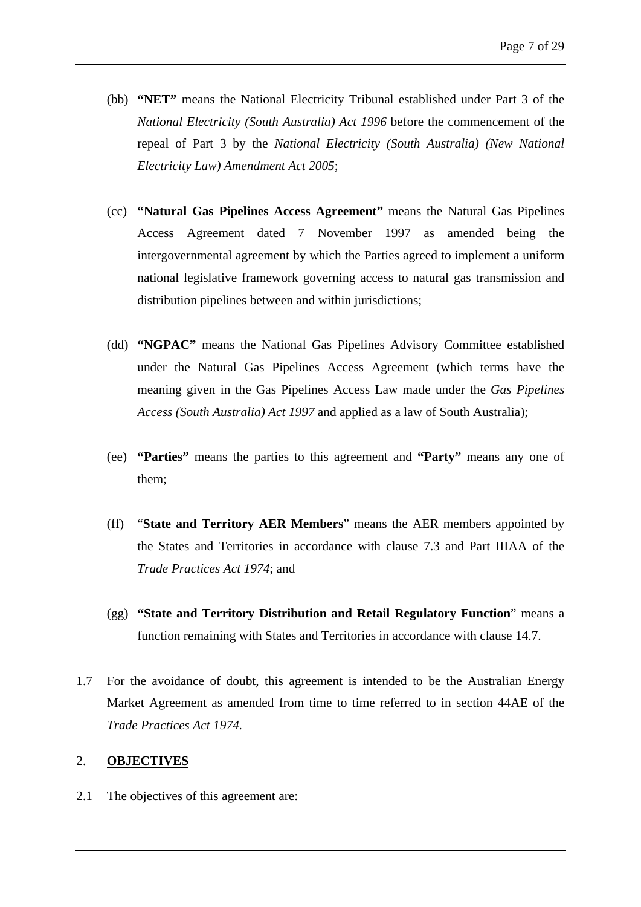- (bb) **"NET"** means the National Electricity Tribunal established under Part 3 of the *National Electricity (South Australia) Act 1996* before the commencement of the repeal of Part 3 by the *National Electricity (South Australia) (New National Electricity Law) Amendment Act 2005*;
- (cc) **"Natural Gas Pipelines Access Agreement"** means the Natural Gas Pipelines Access Agreement dated 7 November 1997 as amended being the intergovernmental agreement by which the Parties agreed to implement a uniform national legislative framework governing access to natural gas transmission and distribution pipelines between and within jurisdictions;
- (dd) **"NGPAC"** means the National Gas Pipelines Advisory Committee established under the Natural Gas Pipelines Access Agreement (which terms have the meaning given in the Gas Pipelines Access Law made under the *Gas Pipelines Access (South Australia) Act 1997* and applied as a law of South Australia);
- (ee) **"Parties"** means the parties to this agreement and **"Party"** means any one of them;
- (ff) "**State and Territory AER Members**" means the AER members appointed by the States and Territories in accordance with clause 7.3 and Part IIIAA of the *Trade Practices Act 1974*; and
- (gg) **"State and Territory Distribution and Retail Regulatory Function**" means a function remaining with States and Territories in accordance with clause 14.7.
- 1.7 For the avoidance of doubt, this agreement is intended to be the Australian Energy Market Agreement as amended from time to time referred to in section 44AE of the *Trade Practices Act 1974.*

# <span id="page-11-0"></span>2. **OBJECTIVES**

2.1 The objectives of this agreement are: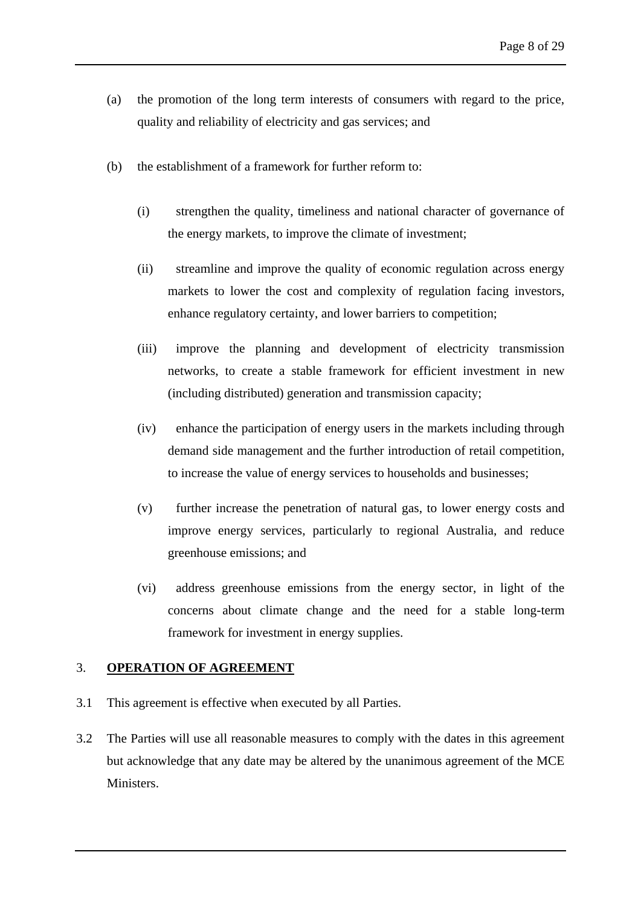- (a) the promotion of the long term interests of consumers with regard to the price, quality and reliability of electricity and gas services; and
- (b) the establishment of a framework for further reform to:
	- (i) strengthen the quality, timeliness and national character of governance of the energy markets, to improve the climate of investment;
	- (ii) streamline and improve the quality of economic regulation across energy markets to lower the cost and complexity of regulation facing investors, enhance regulatory certainty, and lower barriers to competition;
	- (iii) improve the planning and development of electricity transmission networks, to create a stable framework for efficient investment in new (including distributed) generation and transmission capacity;
	- (iv) enhance the participation of energy users in the markets including through demand side management and the further introduction of retail competition, to increase the value of energy services to households and businesses;
	- (v) further increase the penetration of natural gas, to lower energy costs and improve energy services, particularly to regional Australia, and reduce greenhouse emissions; and
	- (vi) address greenhouse emissions from the energy sector, in light of the concerns about climate change and the need for a stable long-term framework for investment in energy supplies.

#### <span id="page-12-0"></span>3. **OPERATION OF AGREEMENT**

- 3.1 This agreement is effective when executed by all Parties.
- 3.2 The Parties will use all reasonable measures to comply with the dates in this agreement but acknowledge that any date may be altered by the unanimous agreement of the MCE Ministers.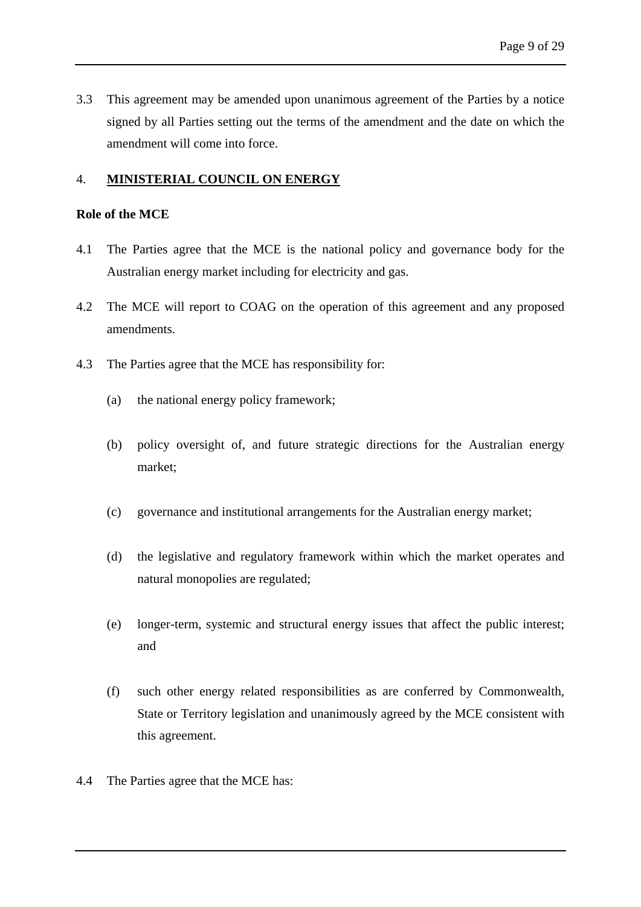3.3 This agreement may be amended upon unanimous agreement of the Parties by a notice signed by all Parties setting out the terms of the amendment and the date on which the amendment will come into force.

# <span id="page-13-0"></span>4. **MINISTERIAL COUNCIL ON ENERGY**

#### **Role of the MCE**

- 4.1 The Parties agree that the MCE is the national policy and governance body for the Australian energy market including for electricity and gas.
- 4.2 The MCE will report to COAG on the operation of this agreement and any proposed amendments.
- 4.3 The Parties agree that the MCE has responsibility for:
	- (a) the national energy policy framework;
	- (b) policy oversight of, and future strategic directions for the Australian energy market;
	- (c) governance and institutional arrangements for the Australian energy market;
	- (d) the legislative and regulatory framework within which the market operates and natural monopolies are regulated;
	- (e) longer-term, systemic and structural energy issues that affect the public interest; and
	- (f) such other energy related responsibilities as are conferred by Commonwealth, State or Territory legislation and unanimously agreed by the MCE consistent with this agreement.
- 4.4 The Parties agree that the MCE has: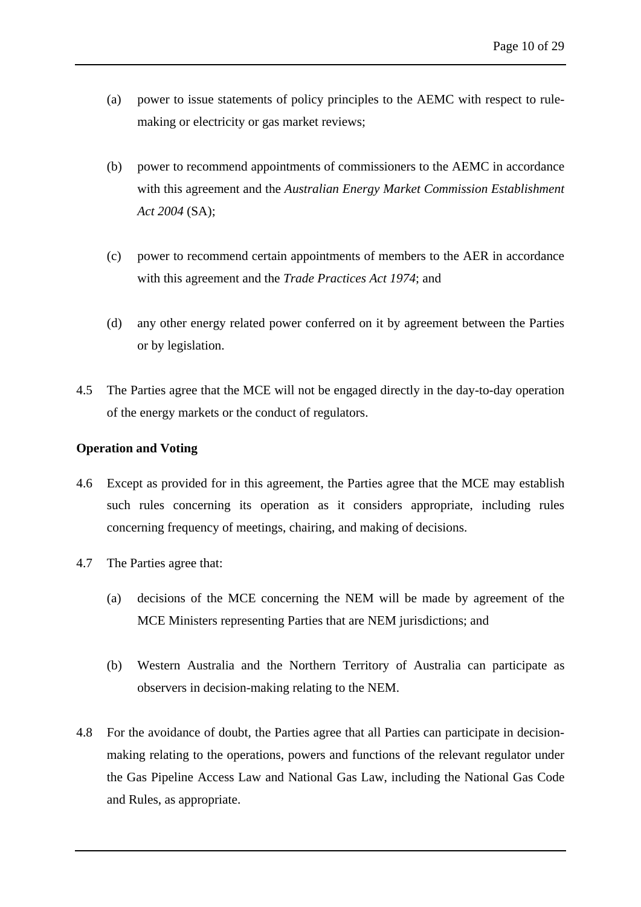- (a) power to issue statements of policy principles to the AEMC with respect to rulemaking or electricity or gas market reviews;
- (b) power to recommend appointments of commissioners to the AEMC in accordance with this agreement and the *Australian Energy Market Commission Establishment Act 2004* (SA);
- (c) power to recommend certain appointments of members to the AER in accordance with this agreement and the *Trade Practices Act 1974*; and
- (d) any other energy related power conferred on it by agreement between the Parties or by legislation.
- 4.5 The Parties agree that the MCE will not be engaged directly in the day-to-day operation of the energy markets or the conduct of regulators.

# **Operation and Voting**

- 4.6 Except as provided for in this agreement, the Parties agree that the MCE may establish such rules concerning its operation as it considers appropriate, including rules concerning frequency of meetings, chairing, and making of decisions.
- 4.7 The Parties agree that:
	- (a) decisions of the MCE concerning the NEM will be made by agreement of the MCE Ministers representing Parties that are NEM jurisdictions; and
	- (b) Western Australia and the Northern Territory of Australia can participate as observers in decision-making relating to the NEM.
- 4.8 For the avoidance of doubt, the Parties agree that all Parties can participate in decisionmaking relating to the operations, powers and functions of the relevant regulator under the Gas Pipeline Access Law and National Gas Law, including the National Gas Code and Rules, as appropriate.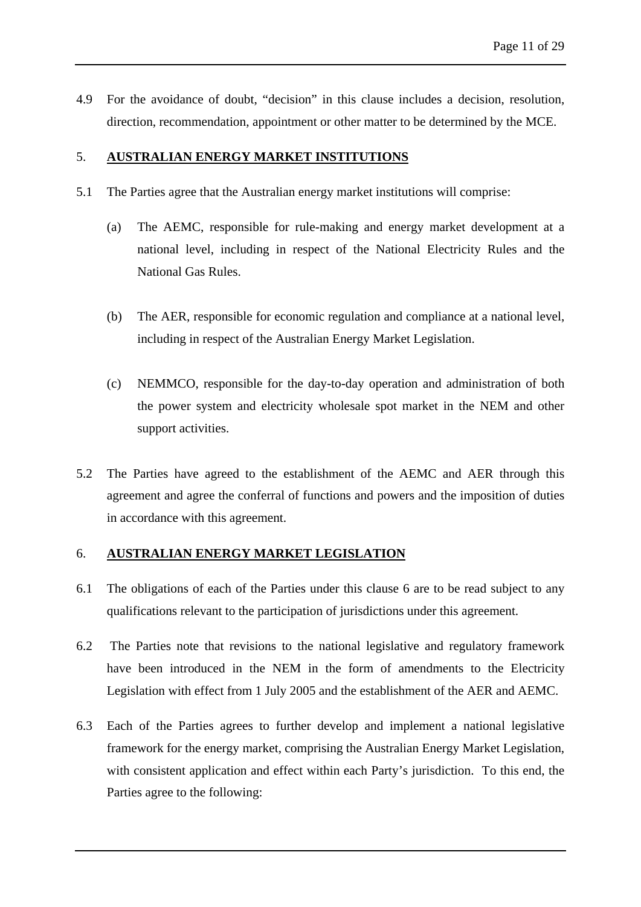4.9 For the avoidance of doubt, "decision" in this clause includes a decision, resolution, direction, recommendation, appointment or other matter to be determined by the MCE.

# <span id="page-15-0"></span>5. **AUSTRALIAN ENERGY MARKET INSTITUTIONS**

- 5.1 The Parties agree that the Australian energy market institutions will comprise:
	- (a) The AEMC, responsible for rule-making and energy market development at a national level, including in respect of the National Electricity Rules and the National Gas Rules.
	- (b) The AER, responsible for economic regulation and compliance at a national level, including in respect of the Australian Energy Market Legislation.
	- (c) NEMMCO, responsible for the day-to-day operation and administration of both the power system and electricity wholesale spot market in the NEM and other support activities.
- 5.2 The Parties have agreed to the establishment of the AEMC and AER through this agreement and agree the conferral of functions and powers and the imposition of duties in accordance with this agreement.

# <span id="page-15-1"></span>6. **AUSTRALIAN ENERGY MARKET LEGISLATION**

- 6.1 The obligations of each of the Parties under this clause 6 are to be read subject to any qualifications relevant to the participation of jurisdictions under this agreement.
- 6.2 The Parties note that revisions to the national legislative and regulatory framework have been introduced in the NEM in the form of amendments to the Electricity Legislation with effect from 1 July 2005 and the establishment of the AER and AEMC.
- 6.3 Each of the Parties agrees to further develop and implement a national legislative framework for the energy market, comprising the Australian Energy Market Legislation, with consistent application and effect within each Party's jurisdiction. To this end, the Parties agree to the following: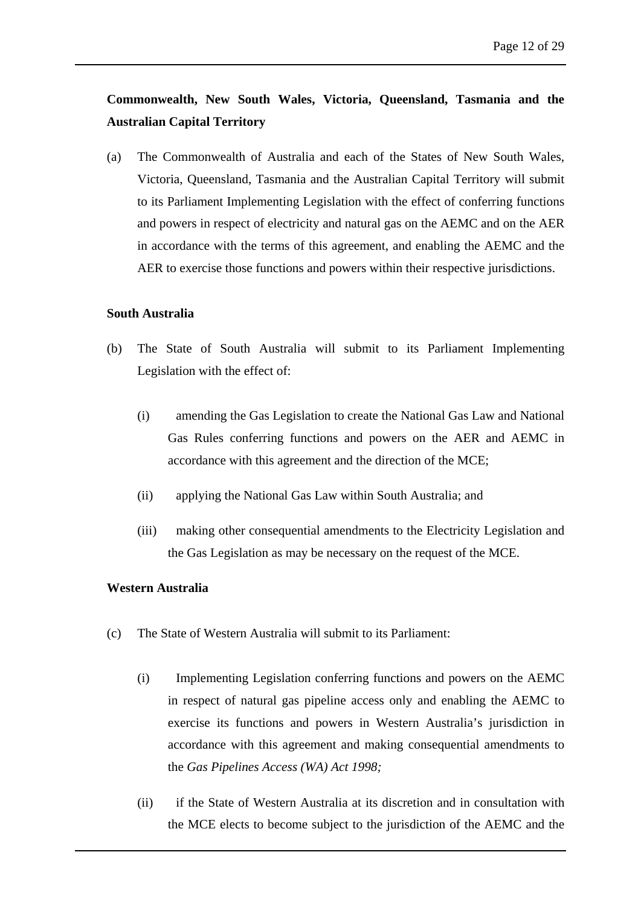# **Commonwealth, New South Wales, Victoria, Queensland, Tasmania and the Australian Capital Territory**

(a) The Commonwealth of Australia and each of the States of New South Wales, Victoria, Queensland, Tasmania and the Australian Capital Territory will submit to its Parliament Implementing Legislation with the effect of conferring functions and powers in respect of electricity and natural gas on the AEMC and on the AER in accordance with the terms of this agreement, and enabling the AEMC and the AER to exercise those functions and powers within their respective jurisdictions.

#### **South Australia**

- (b) The State of South Australia will submit to its Parliament Implementing Legislation with the effect of:
	- (i) amending the Gas Legislation to create the National Gas Law and National Gas Rules conferring functions and powers on the AER and AEMC in accordance with this agreement and the direction of the MCE;
	- (ii) applying the National Gas Law within South Australia; and
	- (iii) making other consequential amendments to the Electricity Legislation and the Gas Legislation as may be necessary on the request of the MCE.

#### **Western Australia**

- (c) The State of Western Australia will submit to its Parliament:
	- (i) Implementing Legislation conferring functions and powers on the AEMC in respect of natural gas pipeline access only and enabling the AEMC to exercise its functions and powers in Western Australia's jurisdiction in accordance with this agreement and making consequential amendments to the *Gas Pipelines Access (WA) Act 1998;*
	- (ii) if the State of Western Australia at its discretion and in consultation with the MCE elects to become subject to the jurisdiction of the AEMC and the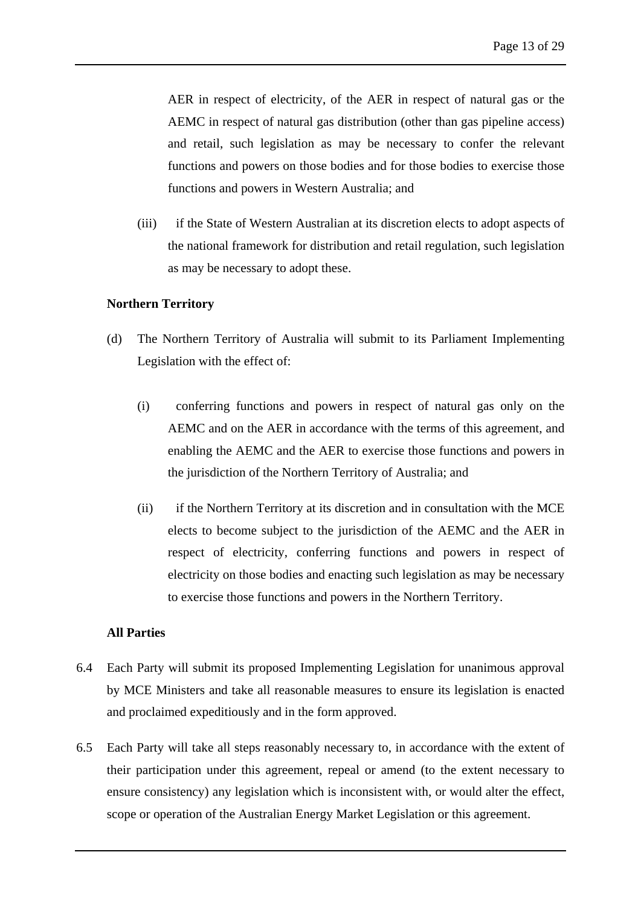AER in respect of electricity, of the AER in respect of natural gas or the AEMC in respect of natural gas distribution (other than gas pipeline access) and retail, such legislation as may be necessary to confer the relevant functions and powers on those bodies and for those bodies to exercise those functions and powers in Western Australia; and

(iii) if the State of Western Australian at its discretion elects to adopt aspects of the national framework for distribution and retail regulation, such legislation as may be necessary to adopt these.

#### **Northern Territory**

- (d) The Northern Territory of Australia will submit to its Parliament Implementing Legislation with the effect of:
	- (i) conferring functions and powers in respect of natural gas only on the AEMC and on the AER in accordance with the terms of this agreement, and enabling the AEMC and the AER to exercise those functions and powers in the jurisdiction of the Northern Territory of Australia; and
	- (ii) if the Northern Territory at its discretion and in consultation with the MCE elects to become subject to the jurisdiction of the AEMC and the AER in respect of electricity, conferring functions and powers in respect of electricity on those bodies and enacting such legislation as may be necessary to exercise those functions and powers in the Northern Territory.

#### **All Parties**

- 6.4 Each Party will submit its proposed Implementing Legislation for unanimous approval by MCE Ministers and take all reasonable measures to ensure its legislation is enacted and proclaimed expeditiously and in the form approved.
- 6.5 Each Party will take all steps reasonably necessary to, in accordance with the extent of their participation under this agreement, repeal or amend (to the extent necessary to ensure consistency) any legislation which is inconsistent with, or would alter the effect, scope or operation of the Australian Energy Market Legislation or this agreement.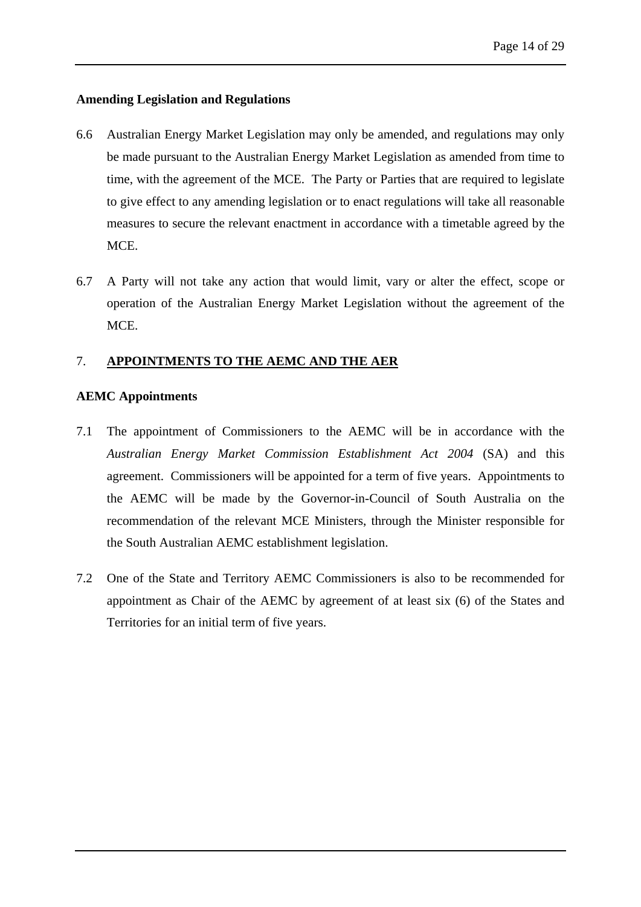# **Amending Legislation and Regulations**

- 6.6 Australian Energy Market Legislation may only be amended, and regulations may only be made pursuant to the Australian Energy Market Legislation as amended from time to time, with the agreement of the MCE. The Party or Parties that are required to legislate to give effect to any amending legislation or to enact regulations will take all reasonable measures to secure the relevant enactment in accordance with a timetable agreed by the MCE.
- 6.7 A Party will not take any action that would limit, vary or alter the effect, scope or operation of the Australian Energy Market Legislation without the agreement of the MCE.

# <span id="page-18-0"></span>7. **APPOINTMENTS TO THE AEMC AND THE AER**

# **AEMC Appointments**

- 7.1 The appointment of Commissioners to the AEMC will be in accordance with the *Australian Energy Market Commission Establishment Act 2004* (SA) and this agreement. Commissioners will be appointed for a term of five years. Appointments to the AEMC will be made by the Governor-in-Council of South Australia on the recommendation of the relevant MCE Ministers, through the Minister responsible for the South Australian AEMC establishment legislation.
- 7.2 One of the State and Territory AEMC Commissioners is also to be recommended for appointment as Chair of the AEMC by agreement of at least six (6) of the States and Territories for an initial term of five years.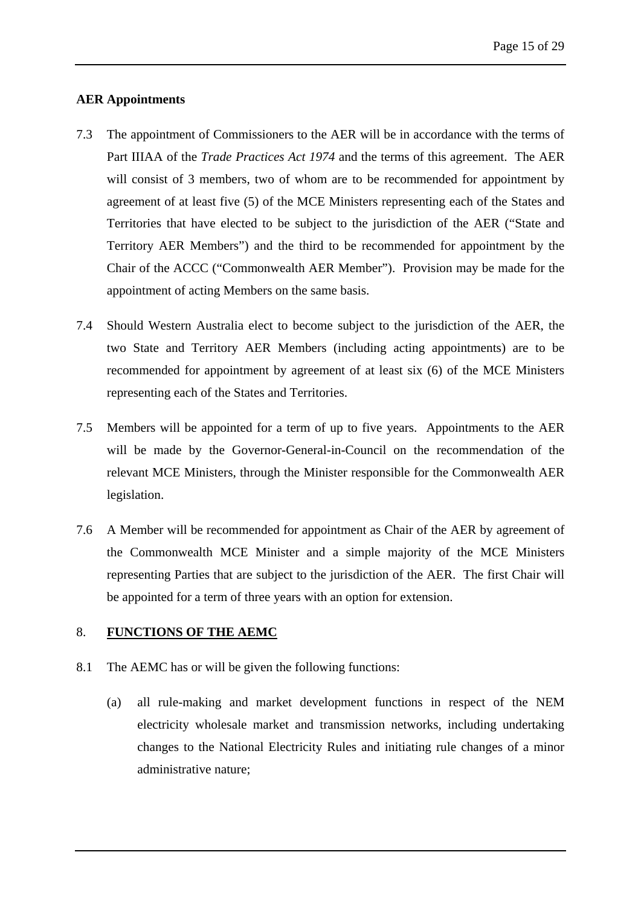# **AER Appointments**

- 7.3 The appointment of Commissioners to the AER will be in accordance with the terms of Part IIIAA of the *Trade Practices Act 1974* and the terms of this agreement. The AER will consist of 3 members, two of whom are to be recommended for appointment by agreement of at least five (5) of the MCE Ministers representing each of the States and Territories that have elected to be subject to the jurisdiction of the AER ("State and Territory AER Members") and the third to be recommended for appointment by the Chair of the ACCC ("Commonwealth AER Member"). Provision may be made for the appointment of acting Members on the same basis.
- 7.4 Should Western Australia elect to become subject to the jurisdiction of the AER, the two State and Territory AER Members (including acting appointments) are to be recommended for appointment by agreement of at least six (6) of the MCE Ministers representing each of the States and Territories.
- 7.5 Members will be appointed for a term of up to five years. Appointments to the AER will be made by the Governor-General-in-Council on the recommendation of the relevant MCE Ministers, through the Minister responsible for the Commonwealth AER legislation.
- 7.6 A Member will be recommended for appointment as Chair of the AER by agreement of the Commonwealth MCE Minister and a simple majority of the MCE Ministers representing Parties that are subject to the jurisdiction of the AER. The first Chair will be appointed for a term of three years with an option for extension.

# <span id="page-19-0"></span>8. **FUNCTIONS OF THE AEMC**

- 8.1 The AEMC has or will be given the following functions:
	- (a) all rule-making and market development functions in respect of the NEM electricity wholesale market and transmission networks, including undertaking changes to the National Electricity Rules and initiating rule changes of a minor administrative nature;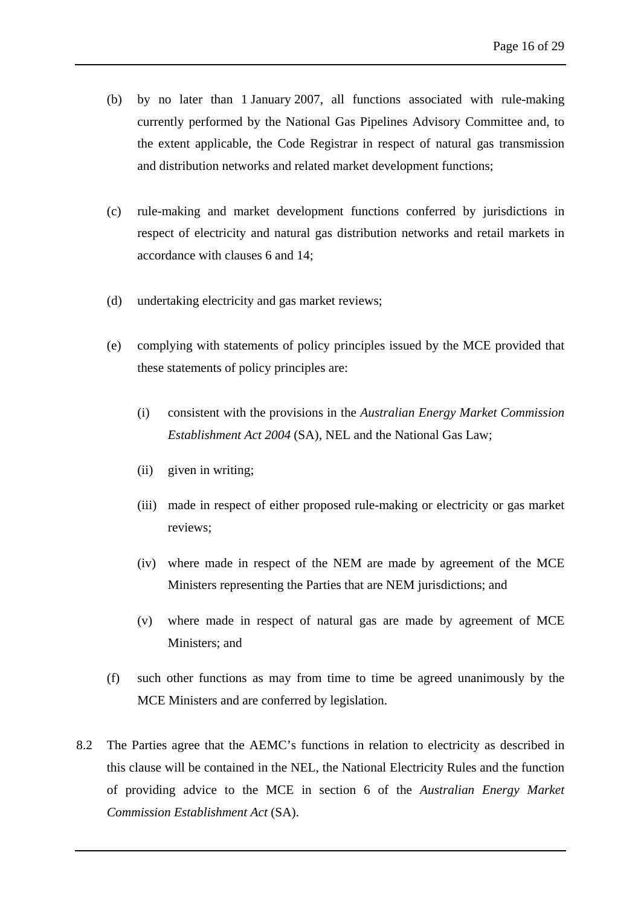- (b) by no later than 1 January 2007, all functions associated with rule-making currently performed by the National Gas Pipelines Advisory Committee and, to the extent applicable, the Code Registrar in respect of natural gas transmission and distribution networks and related market development functions;
- (c) rule-making and market development functions conferred by jurisdictions in respect of electricity and natural gas distribution networks and retail markets in accordance with clauses 6 and [14;](#page-27-0)
- (d) undertaking electricity and gas market reviews;
- (e) complying with statements of policy principles issued by the MCE provided that these statements of policy principles are:
	- (i) consistent with the provisions in the *Australian Energy Market Commission Establishment Act 2004* (SA)*,* NEL and the National Gas Law;
	- (ii) given in writing;
	- (iii) made in respect of either proposed rule-making or electricity or gas market reviews;
	- (iv) where made in respect of the NEM are made by agreement of the MCE Ministers representing the Parties that are NEM jurisdictions; and
	- (v) where made in respect of natural gas are made by agreement of MCE Ministers; and
- (f) such other functions as may from time to time be agreed unanimously by the MCE Ministers and are conferred by legislation.
- 8.2 The Parties agree that the AEMC's functions in relation to electricity as described in this clause will be contained in the NEL, the National Electricity Rules and the function of providing advice to the MCE in section 6 of the *Australian Energy Market Commission Establishment Act* (SA).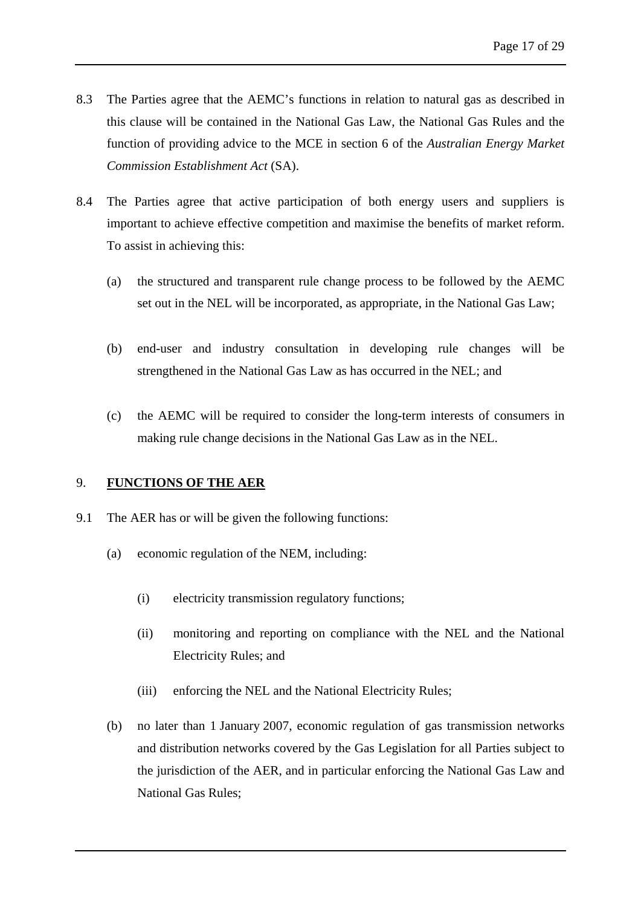- 8.3 The Parties agree that the AEMC's functions in relation to natural gas as described in this clause will be contained in the National Gas Law, the National Gas Rules and the function of providing advice to the MCE in section 6 of the *Australian Energy Market Commission Establishment Act* (SA).
- 8.4 The Parties agree that active participation of both energy users and suppliers is important to achieve effective competition and maximise the benefits of market reform. To assist in achieving this:
	- (a) the structured and transparent rule change process to be followed by the AEMC set out in the NEL will be incorporated, as appropriate, in the National Gas Law;
	- (b) end-user and industry consultation in developing rule changes will be strengthened in the National Gas Law as has occurred in the NEL; and
	- (c) the AEMC will be required to consider the long-term interests of consumers in making rule change decisions in the National Gas Law as in the NEL.

# <span id="page-21-0"></span>9. **FUNCTIONS OF THE AER**

- 9.1 The AER has or will be given the following functions:
	- (a) economic regulation of the NEM, including:
		- (i) electricity transmission regulatory functions;
		- (ii) monitoring and reporting on compliance with the NEL and the National Electricity Rules; and
		- (iii) enforcing the NEL and the National Electricity Rules;
	- (b) no later than 1 January 2007, economic regulation of gas transmission networks and distribution networks covered by the Gas Legislation for all Parties subject to the jurisdiction of the AER, and in particular enforcing the National Gas Law and National Gas Rules;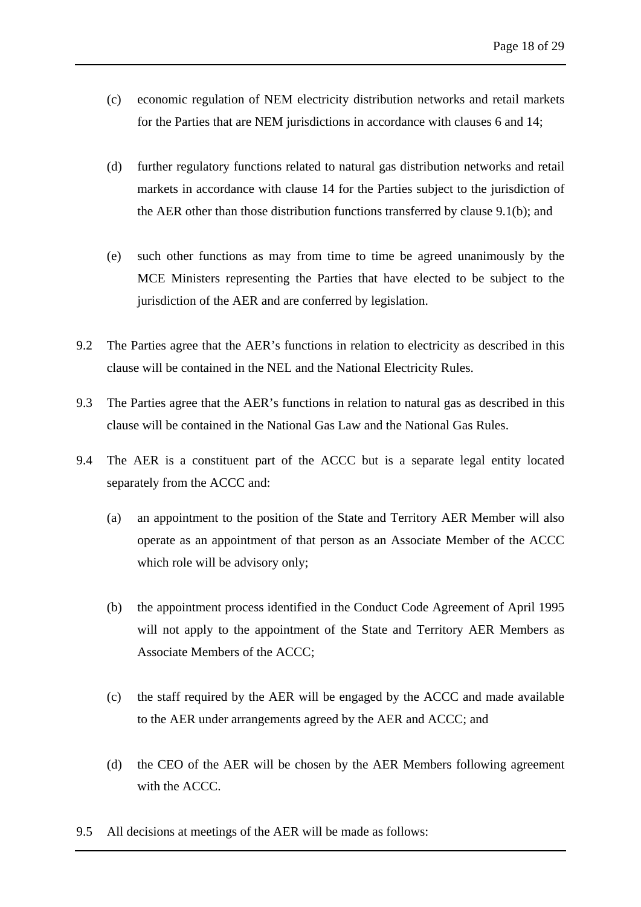- (c) economic regulation of NEM electricity distribution networks and retail markets for the Parties that are NEM jurisdictions in accordance with clauses 6 and [14](#page-27-0);
- (d) further regulatory functions related to natural gas distribution networks and retail markets in accordance with clause [14](#page-27-0) for the Parties subject to the jurisdiction of the AER other than those distribution functions transferred by clause 9.1(b); and
- (e) such other functions as may from time to time be agreed unanimously by the MCE Ministers representing the Parties that have elected to be subject to the jurisdiction of the AER and are conferred by legislation.
- 9.2 The Parties agree that the AER's functions in relation to electricity as described in this clause will be contained in the NEL and the National Electricity Rules.
- 9.3 The Parties agree that the AER's functions in relation to natural gas as described in this clause will be contained in the National Gas Law and the National Gas Rules.
- 9.4 The AER is a constituent part of the ACCC but is a separate legal entity located separately from the ACCC and:
	- (a) an appointment to the position of the State and Territory AER Member will also operate as an appointment of that person as an Associate Member of the ACCC which role will be advisory only;
	- (b) the appointment process identified in the Conduct Code Agreement of April 1995 will not apply to the appointment of the State and Territory AER Members as Associate Members of the ACCC;
	- (c) the staff required by the AER will be engaged by the ACCC and made available to the AER under arrangements agreed by the AER and ACCC; and
	- (d) the CEO of the AER will be chosen by the AER Members following agreement with the ACCC.
- 9.5 All decisions at meetings of the AER will be made as follows: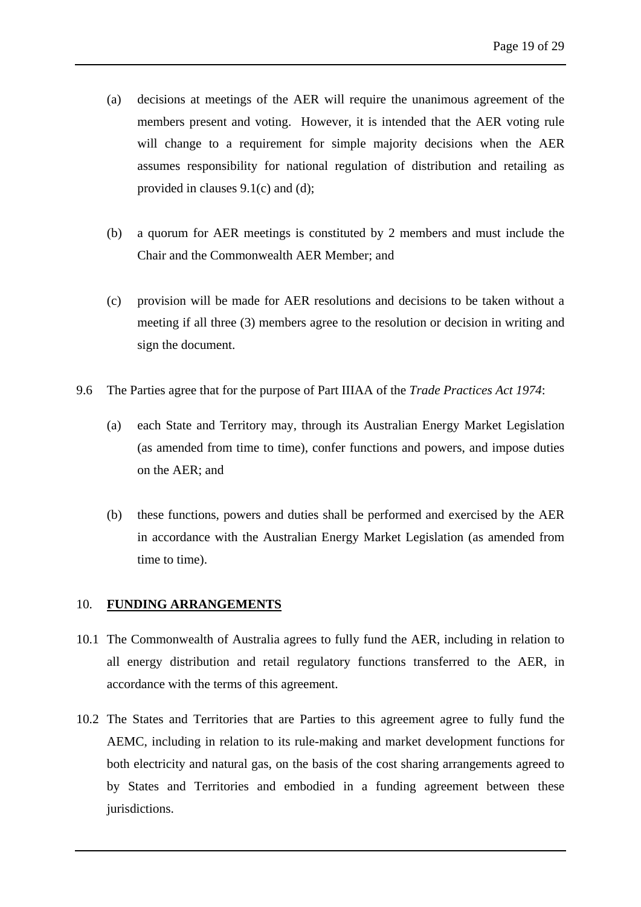- (a) decisions at meetings of the AER will require the unanimous agreement of the members present and voting. However, it is intended that the AER voting rule will change to a requirement for simple majority decisions when the AER assumes responsibility for national regulation of distribution and retailing as provided in clauses 9.1(c) and (d);
- (b) a quorum for AER meetings is constituted by 2 members and must include the Chair and the Commonwealth AER Member; and
- (c) provision will be made for AER resolutions and decisions to be taken without a meeting if all three (3) members agree to the resolution or decision in writing and sign the document.
- 9.6 The Parties agree that for the purpose of Part IIIAA of the *Trade Practices Act 1974*:
	- (a) each State and Territory may, through its Australian Energy Market Legislation (as amended from time to time), confer functions and powers, and impose duties on the AER; and
	- (b) these functions, powers and duties shall be performed and exercised by the AER in accordance with the Australian Energy Market Legislation (as amended from time to time).

#### <span id="page-23-0"></span>10. **FUNDING ARRANGEMENTS**

- 10.1 The Commonwealth of Australia agrees to fully fund the AER, including in relation to all energy distribution and retail regulatory functions transferred to the AER, in accordance with the terms of this agreement.
- 10.2 The States and Territories that are Parties to this agreement agree to fully fund the AEMC, including in relation to its rule-making and market development functions for both electricity and natural gas, on the basis of the cost sharing arrangements agreed to by States and Territories and embodied in a funding agreement between these jurisdictions.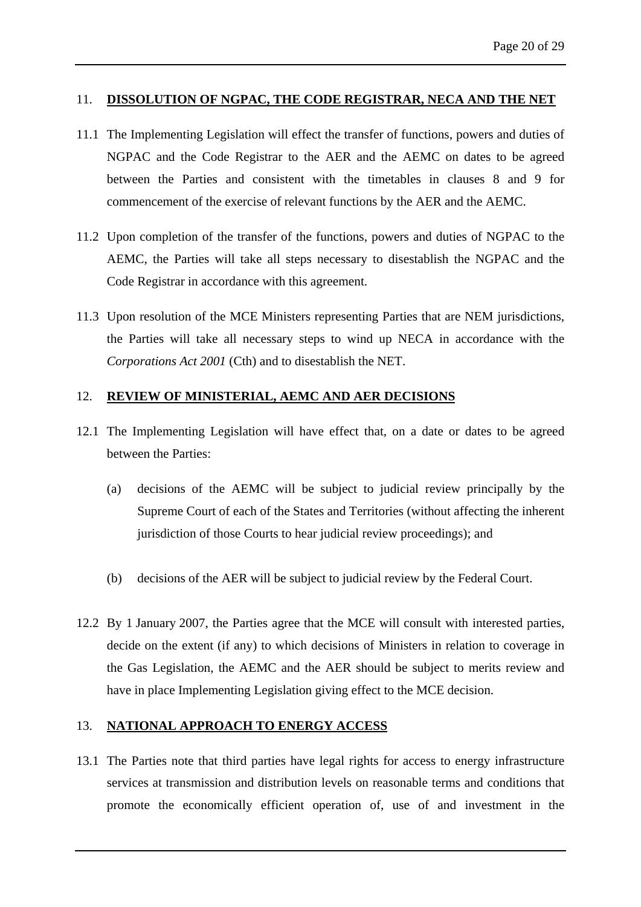# <span id="page-24-0"></span>11. **DISSOLUTION OF NGPAC, THE CODE REGISTRAR, NECA AND THE NET**

- 11.1 The Implementing Legislation will effect the transfer of functions, powers and duties of NGPAC and the Code Registrar to the AER and the AEMC on dates to be agreed between the Parties and consistent with the timetables in clauses 8 and 9 for commencement of the exercise of relevant functions by the AER and the AEMC.
- 11.2 Upon completion of the transfer of the functions, powers and duties of NGPAC to the AEMC, the Parties will take all steps necessary to disestablish the NGPAC and the Code Registrar in accordance with this agreement.
- 11.3 Upon resolution of the MCE Ministers representing Parties that are NEM jurisdictions, the Parties will take all necessary steps to wind up NECA in accordance with the *Corporations Act 2001* (Cth) and to disestablish the NET.

# <span id="page-24-1"></span>12. **REVIEW OF MINISTERIAL, AEMC AND AER DECISIONS**

- 12.1 The Implementing Legislation will have effect that, on a date or dates to be agreed between the Parties:
	- (a) decisions of the AEMC will be subject to judicial review principally by the Supreme Court of each of the States and Territories (without affecting the inherent jurisdiction of those Courts to hear judicial review proceedings); and
	- (b) decisions of the AER will be subject to judicial review by the Federal Court.
- 12.2 By 1 January 2007, the Parties agree that the MCE will consult with interested parties, decide on the extent (if any) to which decisions of Ministers in relation to coverage in the Gas Legislation, the AEMC and the AER should be subject to merits review and have in place Implementing Legislation giving effect to the MCE decision.

# <span id="page-24-2"></span>13. **NATIONAL APPROACH TO ENERGY ACCESS**

13.1 The Parties note that third parties have legal rights for access to energy infrastructure services at transmission and distribution levels on reasonable terms and conditions that promote the economically efficient operation of, use of and investment in the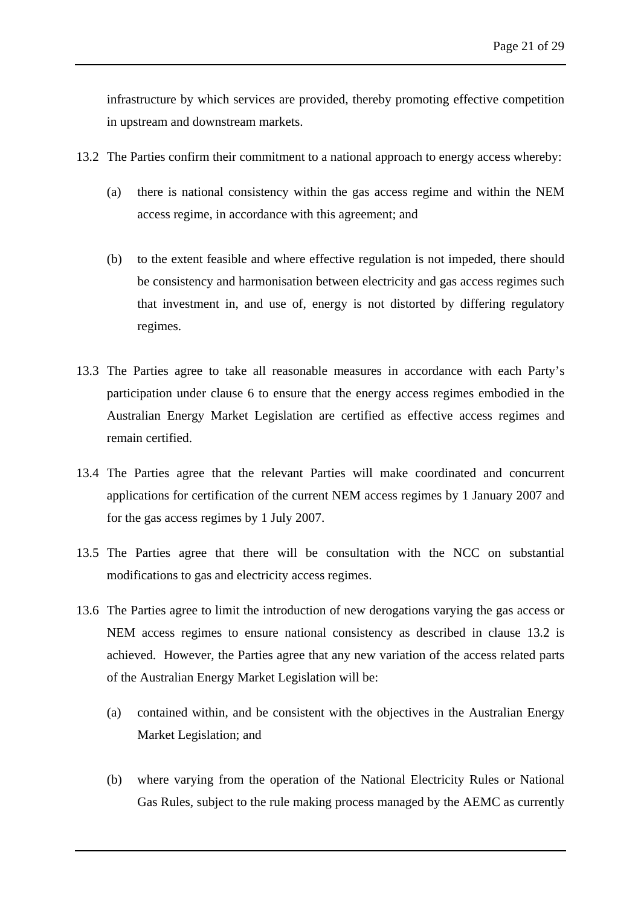infrastructure by which services are provided, thereby promoting effective competition in upstream and downstream markets.

- 13.2 The Parties confirm their commitment to a national approach to energy access whereby:
	- (a) there is national consistency within the gas access regime and within the NEM access regime, in accordance with this agreement; and
	- (b) to the extent feasible and where effective regulation is not impeded, there should be consistency and harmonisation between electricity and gas access regimes such that investment in, and use of, energy is not distorted by differing regulatory regimes.
- 13.3 The Parties agree to take all reasonable measures in accordance with each Party's participation under clause 6 to ensure that the energy access regimes embodied in the Australian Energy Market Legislation are certified as effective access regimes and remain certified.
- 13.4 The Parties agree that the relevant Parties will make coordinated and concurrent applications for certification of the current NEM access regimes by 1 January 2007 and for the gas access regimes by 1 July 2007.
- 13.5 The Parties agree that there will be consultation with the NCC on substantial modifications to gas and electricity access regimes.
- 13.6 The Parties agree to limit the introduction of new derogations varying the gas access or NEM access regimes to ensure national consistency as described in clause 13.2 is achieved. However, the Parties agree that any new variation of the access related parts of the Australian Energy Market Legislation will be:
	- (a) contained within, and be consistent with the objectives in the Australian Energy Market Legislation; and
	- (b) where varying from the operation of the National Electricity Rules or National Gas Rules, subject to the rule making process managed by the AEMC as currently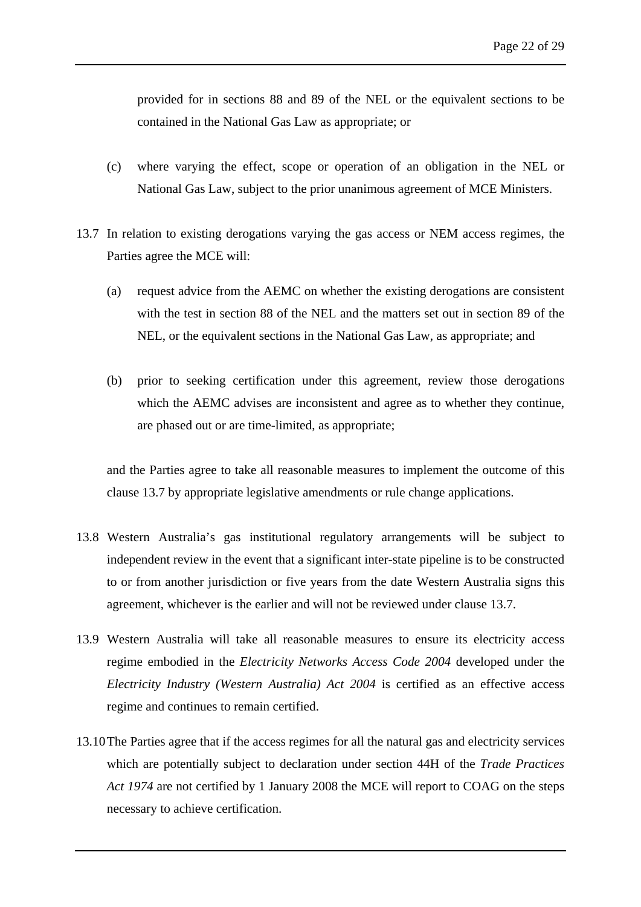provided for in sections 88 and 89 of the NEL or the equivalent sections to be contained in the National Gas Law as appropriate; or

- (c) where varying the effect, scope or operation of an obligation in the NEL or National Gas Law, subject to the prior unanimous agreement of MCE Ministers.
- 13.7 In relation to existing derogations varying the gas access or NEM access regimes, the Parties agree the MCE will:
	- (a) request advice from the AEMC on whether the existing derogations are consistent with the test in section 88 of the NEL and the matters set out in section 89 of the NEL, or the equivalent sections in the National Gas Law, as appropriate; and
	- (b) prior to seeking certification under this agreement, review those derogations which the AEMC advises are inconsistent and agree as to whether they continue, are phased out or are time-limited, as appropriate;

and the Parties agree to take all reasonable measures to implement the outcome of this clause 13.7 by appropriate legislative amendments or rule change applications.

- 13.8 Western Australia's gas institutional regulatory arrangements will be subject to independent review in the event that a significant inter-state pipeline is to be constructed to or from another jurisdiction or five years from the date Western Australia signs this agreement, whichever is the earlier and will not be reviewed under clause 13.7.
- 13.9 Western Australia will take all reasonable measures to ensure its electricity access regime embodied in the *Electricity Networks Access Code 2004* developed under the *Electricity Industry (Western Australia) Act 2004* is certified as an effective access regime and continues to remain certified.
- 13.10The Parties agree that if the access regimes for all the natural gas and electricity services which are potentially subject to declaration under section 44H of the *Trade Practices Act 1974* are not certified by 1 January 2008 the MCE will report to COAG on the steps necessary to achieve certification.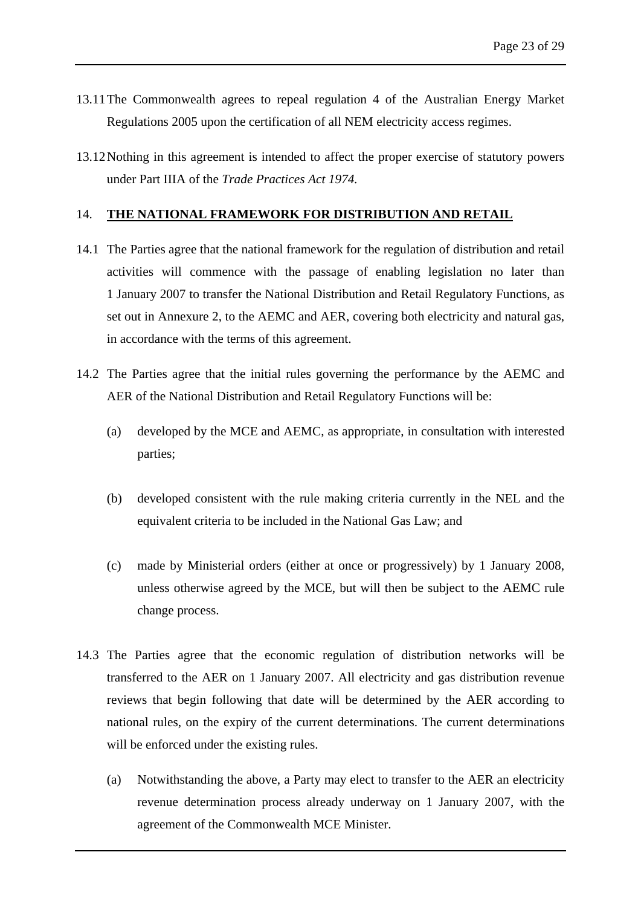- 13.11The Commonwealth agrees to repeal regulation 4 of the Australian Energy Market Regulations 2005 upon the certification of all NEM electricity access regimes.
- 13.12Nothing in this agreement is intended to affect the proper exercise of statutory powers under Part IIIA of the *Trade Practices Act 1974.*

# <span id="page-27-0"></span>14. **THE NATIONAL FRAMEWORK FOR DISTRIBUTION AND RETAIL**

- 14.1 The Parties agree that the national framework for the regulation of distribution and retail activities will commence with the passage of enabling legislation no later than 1 January 2007 to transfer the National Distribution and Retail Regulatory Functions, as set out in Annexure 2, to the AEMC and AER, covering both electricity and natural gas, in accordance with the terms of this agreement.
- 14.2 The Parties agree that the initial rules governing the performance by the AEMC and AER of the National Distribution and Retail Regulatory Functions will be:
	- (a) developed by the MCE and AEMC, as appropriate, in consultation with interested parties;
	- (b) developed consistent with the rule making criteria currently in the NEL and the equivalent criteria to be included in the National Gas Law; and
	- (c) made by Ministerial orders (either at once or progressively) by 1 January 2008, unless otherwise agreed by the MCE, but will then be subject to the AEMC rule change process.
- 14.3 The Parties agree that the economic regulation of distribution networks will be transferred to the AER on 1 January 2007. All electricity and gas distribution revenue reviews that begin following that date will be determined by the AER according to national rules, on the expiry of the current determinations. The current determinations will be enforced under the existing rules.
	- (a) Notwithstanding the above, a Party may elect to transfer to the AER an electricity revenue determination process already underway on 1 January 2007, with the agreement of the Commonwealth MCE Minister.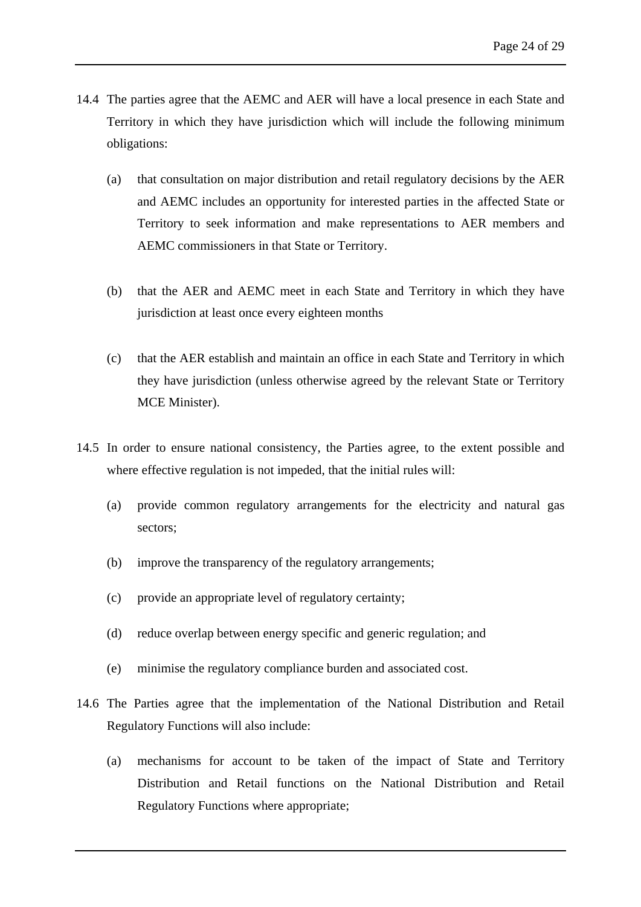- 14.4 The parties agree that the AEMC and AER will have a local presence in each State and Territory in which they have jurisdiction which will include the following minimum obligations:
	- (a) that consultation on major distribution and retail regulatory decisions by the AER and AEMC includes an opportunity for interested parties in the affected State or Territory to seek information and make representations to AER members and AEMC commissioners in that State or Territory.
	- (b) that the AER and AEMC meet in each State and Territory in which they have jurisdiction at least once every eighteen months
	- (c) that the AER establish and maintain an office in each State and Territory in which they have jurisdiction (unless otherwise agreed by the relevant State or Territory MCE Minister).
- 14.5 In order to ensure national consistency, the Parties agree, to the extent possible and where effective regulation is not impeded, that the initial rules will:
	- (a) provide common regulatory arrangements for the electricity and natural gas sectors;
	- (b) improve the transparency of the regulatory arrangements;
	- (c) provide an appropriate level of regulatory certainty;
	- (d) reduce overlap between energy specific and generic regulation; and
	- (e) minimise the regulatory compliance burden and associated cost.
- 14.6 The Parties agree that the implementation of the National Distribution and Retail Regulatory Functions will also include:
	- (a) mechanisms for account to be taken of the impact of State and Territory Distribution and Retail functions on the National Distribution and Retail Regulatory Functions where appropriate;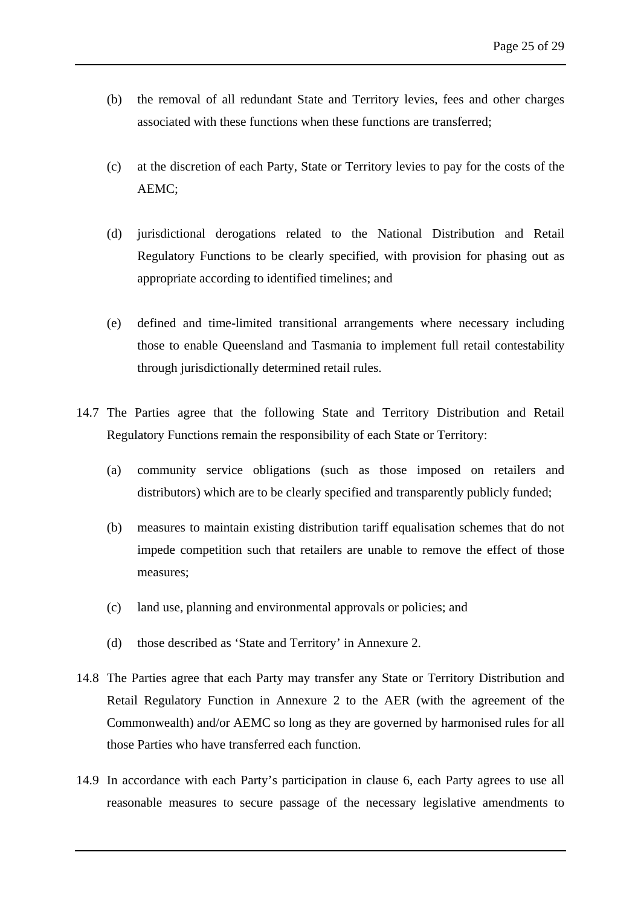- (b) the removal of all redundant State and Territory levies, fees and other charges associated with these functions when these functions are transferred;
- (c) at the discretion of each Party, State or Territory levies to pay for the costs of the AEMC;
- (d) jurisdictional derogations related to the National Distribution and Retail Regulatory Functions to be clearly specified, with provision for phasing out as appropriate according to identified timelines; and
- (e) defined and time-limited transitional arrangements where necessary including those to enable Queensland and Tasmania to implement full retail contestability through jurisdictionally determined retail rules.
- 14.7 The Parties agree that the following State and Territory Distribution and Retail Regulatory Functions remain the responsibility of each State or Territory:
	- (a) community service obligations (such as those imposed on retailers and distributors) which are to be clearly specified and transparently publicly funded;
	- (b) measures to maintain existing distribution tariff equalisation schemes that do not impede competition such that retailers are unable to remove the effect of those measures;
	- (c) land use, planning and environmental approvals or policies; and
	- (d) those described as 'State and Territory' in Annexure 2.
- 14.8 The Parties agree that each Party may transfer any State or Territory Distribution and Retail Regulatory Function in Annexure 2 to the AER (with the agreement of the Commonwealth) and/or AEMC so long as they are governed by harmonised rules for all those Parties who have transferred each function.
- 14.9 In accordance with each Party's participation in clause 6, each Party agrees to use all reasonable measures to secure passage of the necessary legislative amendments to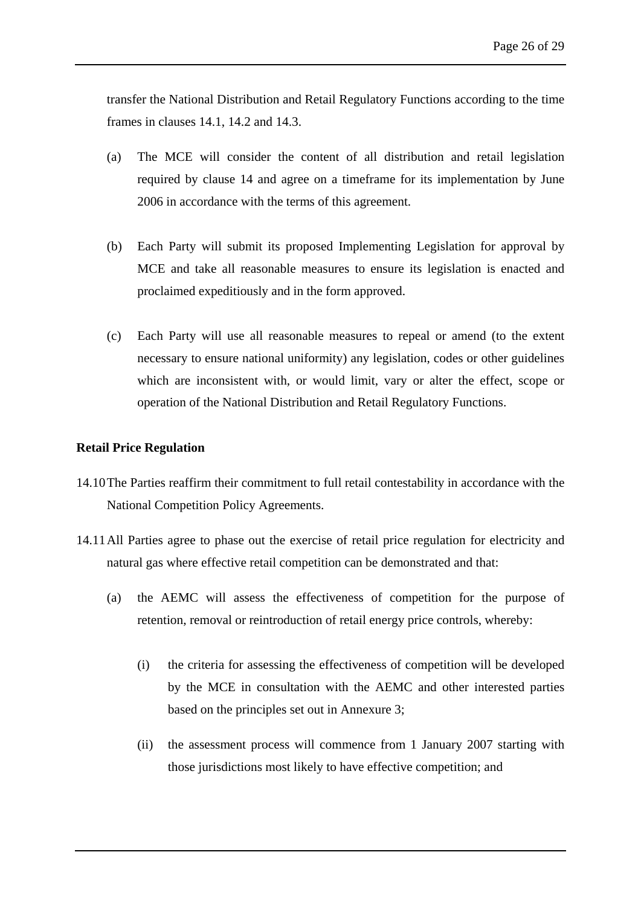transfer the National Distribution and Retail Regulatory Functions according to the time frames in clauses 14.1, 14.2 and 14.3.

- (a) The MCE will consider the content of all distribution and retail legislation required by clause 14 and agree on a timeframe for its implementation by June 2006 in accordance with the terms of this agreement.
- (b) Each Party will submit its proposed Implementing Legislation for approval by MCE and take all reasonable measures to ensure its legislation is enacted and proclaimed expeditiously and in the form approved.
- (c) Each Party will use all reasonable measures to repeal or amend (to the extent necessary to ensure national uniformity) any legislation, codes or other guidelines which are inconsistent with, or would limit, vary or alter the effect, scope or operation of the National Distribution and Retail Regulatory Functions.

# **Retail Price Regulation**

- 14.10The Parties reaffirm their commitment to full retail contestability in accordance with the National Competition Policy Agreements.
- 14.11All Parties agree to phase out the exercise of retail price regulation for electricity and natural gas where effective retail competition can be demonstrated and that:
	- (a) the AEMC will assess the effectiveness of competition for the purpose of retention, removal or reintroduction of retail energy price controls, whereby:
		- (i) the criteria for assessing the effectiveness of competition will be developed by the MCE in consultation with the AEMC and other interested parties based on the principles set out in Annexure 3;
		- (ii) the assessment process will commence from 1 January 2007 starting with those jurisdictions most likely to have effective competition; and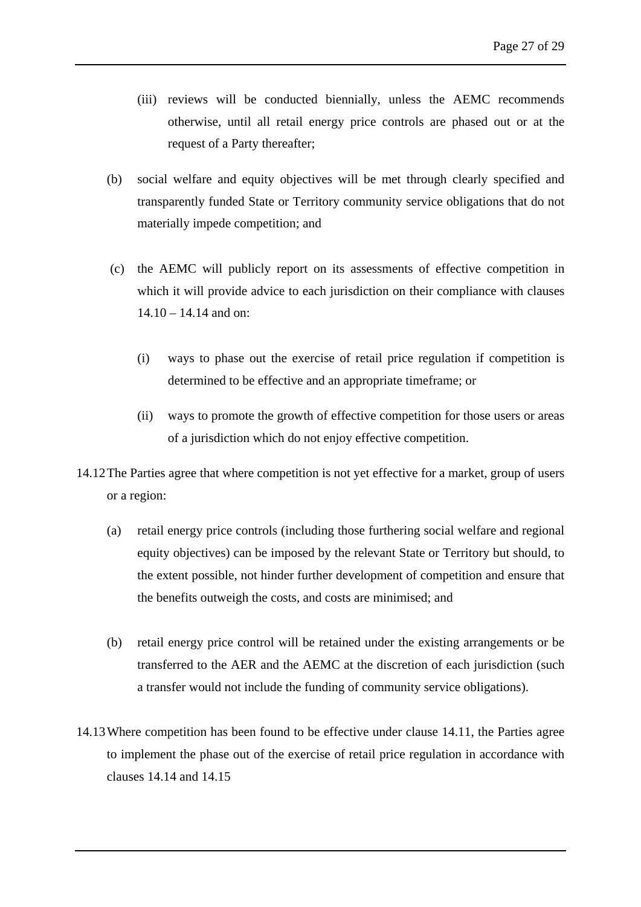- (iii) reviews will be conducted biennially, unless the AEMC recommends otherwise, until all retail energy price controls are phased out or at the request of a Party thereafter;
- (b) social welfare and equity objectives will be met through clearly specified and transparently funded State or Territory community service obligations that do not materially impede competition; and
- (c) the AEMC will publicly report on its assessments of effective competition in which it will provide advice to each jurisdiction on their compliance with clauses 14.10 – 14.14 and on:
	- (i) ways to phase out the exercise of retail price regulation if competition is determined to be effective and an appropriate timeframe; or
	- (ii) ways to promote the growth of effective competition for those users or areas of a jurisdiction which do not enjoy effective competition.
- 14.12The Parties agree that where competition is not yet effective for a market, group of users or a region:
	- (a) retail energy price controls (including those furthering social welfare and regional equity objectives) can be imposed by the relevant State or Territory but should, to the extent possible, not hinder further development of competition and ensure that the benefits outweigh the costs, and costs are minimised; and
	- (b) retail energy price control will be retained under the existing arrangements or be transferred to the AER and the AEMC at the discretion of each jurisdiction (such a transfer would not include the funding of community service obligations).
- 14.13Where competition has been found to be effective under clause 14.11, the Parties agree to implement the phase out of the exercise of retail price regulation in accordance with clauses 14.14 and 14.15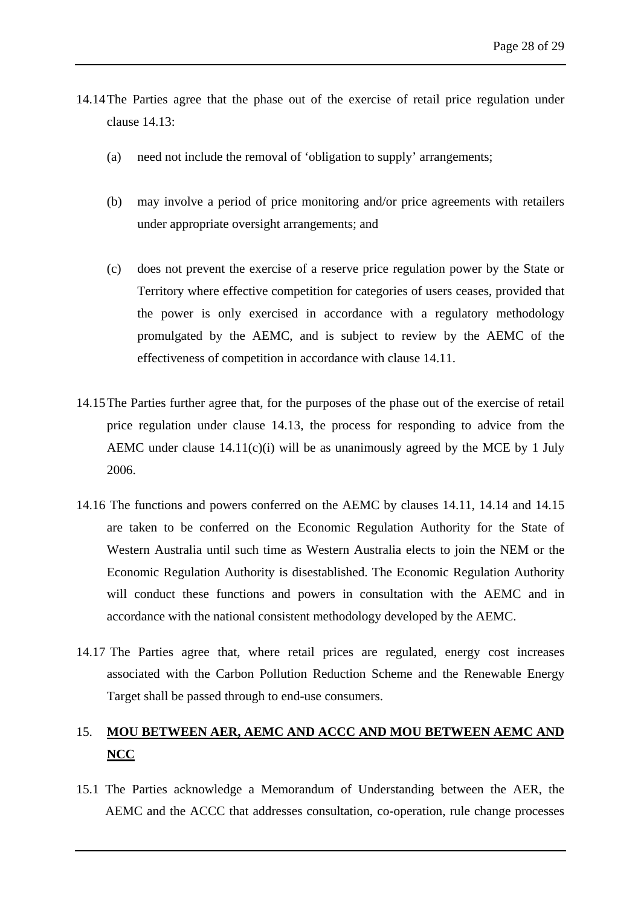- 14.14The Parties agree that the phase out of the exercise of retail price regulation under clause 14.13:
	- (a) need not include the removal of 'obligation to supply' arrangements;
	- (b) may involve a period of price monitoring and/or price agreements with retailers under appropriate oversight arrangements; and
	- (c) does not prevent the exercise of a reserve price regulation power by the State or Territory where effective competition for categories of users ceases, provided that the power is only exercised in accordance with a regulatory methodology promulgated by the AEMC, and is subject to review by the AEMC of the effectiveness of competition in accordance with clause 14.11.
- 14.15The Parties further agree that, for the purposes of the phase out of the exercise of retail price regulation under clause 14.13, the process for responding to advice from the AEMC under clause  $14.11(c)(i)$  will be as unanimously agreed by the MCE by 1 July 2006.
- 14.16 The functions and powers conferred on the AEMC by clauses 14.11, 14.14 and 14.15 are taken to be conferred on the Economic Regulation Authority for the State of Western Australia until such time as Western Australia elects to join the NEM or the Economic Regulation Authority is disestablished. The Economic Regulation Authority will conduct these functions and powers in consultation with the AEMC and in accordance with the national consistent methodology developed by the AEMC.
- 14.17 The Parties agree that, where retail prices are regulated, energy cost increases associated with the Carbon Pollution Reduction Scheme and the Renewable Energy Target shall be passed through to end-use consumers.

# <span id="page-32-0"></span>15. **MOU BETWEEN AER, AEMC AND ACCC AND MOU BETWEEN AEMC AND NCC**

15.1 The Parties acknowledge a Memorandum of Understanding between the AER, the AEMC and the ACCC that addresses consultation, co-operation, rule change processes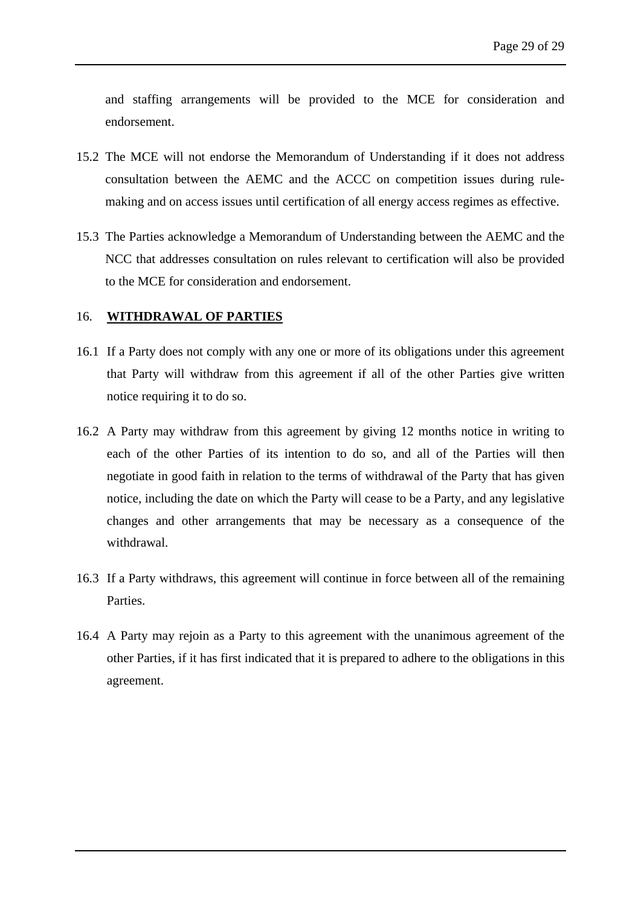and staffing arrangements will be provided to the MCE for consideration and endorsement.

- 15.2 The MCE will not endorse the Memorandum of Understanding if it does not address consultation between the AEMC and the ACCC on competition issues during rulemaking and on access issues until certification of all energy access regimes as effective.
- 15.3 The Parties acknowledge a Memorandum of Understanding between the AEMC and the NCC that addresses consultation on rules relevant to certification will also be provided to the MCE for consideration and endorsement.

#### <span id="page-33-0"></span>16. **WITHDRAWAL OF PARTIES**

- 16.1 If a Party does not comply with any one or more of its obligations under this agreement that Party will withdraw from this agreement if all of the other Parties give written notice requiring it to do so.
- 16.2 A Party may withdraw from this agreement by giving 12 months notice in writing to each of the other Parties of its intention to do so, and all of the Parties will then negotiate in good faith in relation to the terms of withdrawal of the Party that has given notice, including the date on which the Party will cease to be a Party, and any legislative changes and other arrangements that may be necessary as a consequence of the withdrawal.
- 16.3 If a Party withdraws, this agreement will continue in force between all of the remaining Parties.
- 16.4 A Party may rejoin as a Party to this agreement with the unanimous agreement of the other Parties, if it has first indicated that it is prepared to adhere to the obligations in this agreement.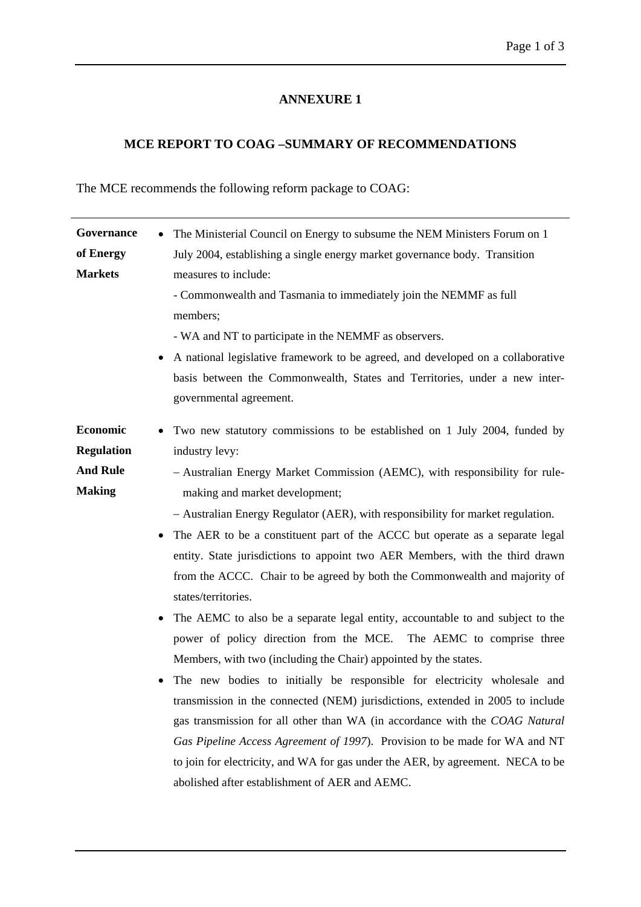# **ANNEXURE 1**

# **MCE REPORT TO COAG –SUMMARY OF RECOMMENDATIONS**

<span id="page-34-0"></span>The MCE recommends the following reform package to COAG:

| Governance        | The Ministerial Council on Energy to subsume the NEM Ministers Forum on 1       |
|-------------------|---------------------------------------------------------------------------------|
| of Energy         | July 2004, establishing a single energy market governance body. Transition      |
| <b>Markets</b>    | measures to include:                                                            |
|                   | - Commonwealth and Tasmania to immediately join the NEMMF as full               |
|                   | members;                                                                        |
|                   | - WA and NT to participate in the NEMMF as observers.                           |
|                   | A national legislative framework to be agreed, and developed on a collaborative |
|                   | basis between the Commonwealth, States and Territories, under a new inter-      |
|                   | governmental agreement.                                                         |
| Economic          | • Two new statutory commissions to be established on 1 July 2004, funded by     |
| <b>Regulation</b> | industry levy:                                                                  |
| <b>And Rule</b>   | - Australian Energy Market Commission (AEMC), with responsibility for rule-     |
| <b>Making</b>     | making and market development;                                                  |
|                   | - Australian Energy Regulator (AER), with responsibility for market regulation. |
|                   | The AER to be a constituent part of the ACCC but operate as a separate legal    |
|                   | entity. State jurisdictions to appoint two AER Members, with the third drawn    |
|                   | from the ACCC. Chair to be agreed by both the Commonwealth and majority of      |
|                   | states/territories.                                                             |
|                   | The AEMC to also be a separate legal entity, accountable to and subject to the  |
|                   | power of policy direction from the MCE. The AEMC to comprise three              |
|                   | Members, with two (including the Chair) appointed by the states.                |
|                   | The new bodies to initially be responsible for electricity wholesale and        |
|                   | transmission in the connected (NEM) jurisdictions, extended in 2005 to include  |
|                   | gas transmission for all other than WA (in accordance with the COAG Natural     |
|                   | Gas Pipeline Access Agreement of 1997). Provision to be made for WA and NT      |
|                   | to join for electricity, and WA for gas under the AER, by agreement. NECA to be |
|                   | abolished after establishment of AER and AEMC.                                  |
|                   |                                                                                 |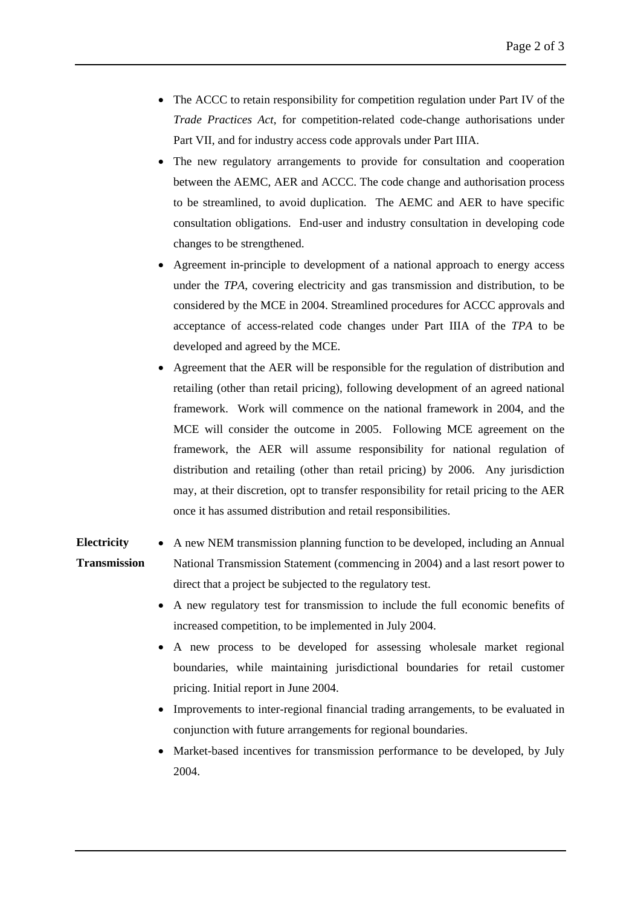- The ACCC to retain responsibility for competition regulation under Part IV of the *Trade Practices Act*, for competition-related code-change authorisations under Part VII, and for industry access code approvals under Part IIIA.
- The new regulatory arrangements to provide for consultation and cooperation between the AEMC, AER and ACCC. The code change and authorisation process to be streamlined, to avoid duplication. The AEMC and AER to have specific consultation obligations. End-user and industry consultation in developing code changes to be strengthened.
- Agreement in-principle to development of a national approach to energy access under the *TPA*, covering electricity and gas transmission and distribution, to be considered by the MCE in 2004. Streamlined procedures for ACCC approvals and acceptance of access-related code changes under Part IIIA of the *TPA* to be developed and agreed by the MCE.
- Agreement that the AER will be responsible for the regulation of distribution and retailing (other than retail pricing), following development of an agreed national framework. Work will commence on the national framework in 2004, and the MCE will consider the outcome in 2005. Following MCE agreement on the framework, the AER will assume responsibility for national regulation of distribution and retailing (other than retail pricing) by 2006. Any jurisdiction may, at their discretion, opt to transfer responsibility for retail pricing to the AER once it has assumed distribution and retail responsibilities.
- **Electricity Transmission**  A new NEM transmission planning function to be developed, including an Annual National Transmission Statement (commencing in 2004) and a last resort power to direct that a project be subjected to the regulatory test.
	- A new regulatory test for transmission to include the full economic benefits of increased competition, to be implemented in July 2004.
	- A new process to be developed for assessing wholesale market regional boundaries, while maintaining jurisdictional boundaries for retail customer pricing. Initial report in June 2004.
	- Improvements to inter-regional financial trading arrangements, to be evaluated in conjunction with future arrangements for regional boundaries.
	- Market-based incentives for transmission performance to be developed, by July 2004.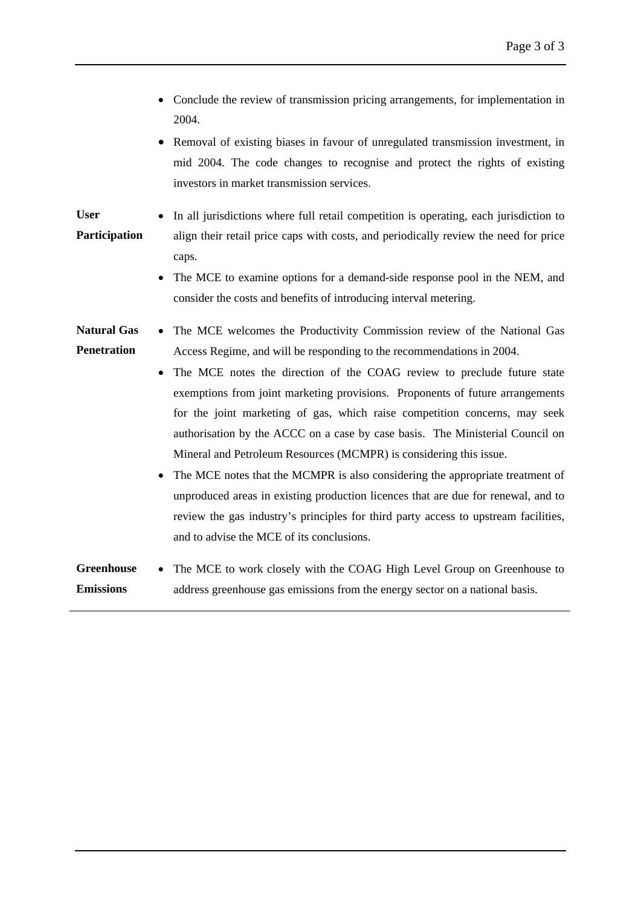- Conclude the review of transmission pricing arrangements, for implementation in 2004.
- Removal of existing biases in favour of unregulated transmission investment, in mid 2004. The code changes to recognise and protect the rights of existing investors in market transmission services.

**User Participation**  In all jurisdictions where full retail competition is operating, each jurisdiction to align their retail price caps with costs, and periodically review the need for price caps.

> The MCE to examine options for a demand-side response pool in the NEM, and consider the costs and benefits of introducing interval metering.

#### **Natural Gas Penetration**  The MCE welcomes the Productivity Commission review of the National Gas Access Regime, and will be responding to the recommendations in 2004.

- The MCE notes the direction of the COAG review to preclude future state exemptions from joint marketing provisions. Proponents of future arrangements for the joint marketing of gas, which raise competition concerns, may seek authorisation by the ACCC on a case by case basis. The Ministerial Council on Mineral and Petroleum Resources (MCMPR) is considering this issue.
- The MCE notes that the MCMPR is also considering the appropriate treatment of unproduced areas in existing production licences that are due for renewal, and to review the gas industry's principles for third party access to upstream facilities, and to advise the MCE of its conclusions.

#### **Greenhouse Emissions**  The MCE to work closely with the COAG High Level Group on Greenhouse to address greenhouse gas emissions from the energy sector on a national basis.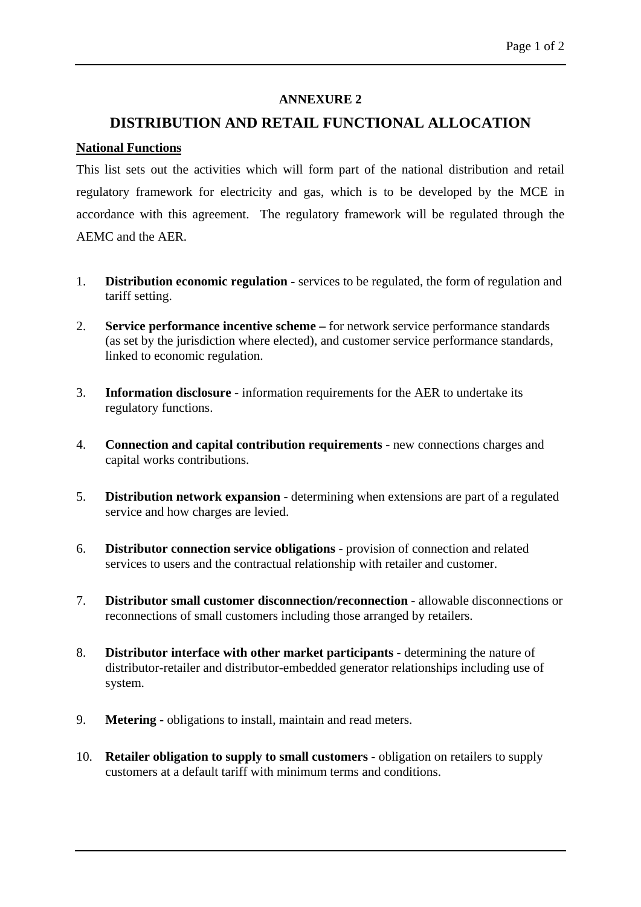### **ANNEXURE 2**

# **DISTRIBUTION AND RETAIL FUNCTIONAL ALLOCATION**

#### <span id="page-37-0"></span>**National Functions**

This list sets out the activities which will form part of the national distribution and retail regulatory framework for electricity and gas, which is to be developed by the MCE in accordance with this agreement. The regulatory framework will be regulated through the AEMC and the AER.

- 1. **Distribution economic regulation** services to be regulated, the form of regulation and tariff setting.
- 2. **Service performance incentive scheme** for network service performance standards (as set by the jurisdiction where elected), and customer service performance standards, linked to economic regulation.
- 3. **Information disclosure** information requirements for the AER to undertake its regulatory functions.
- 4. **Connection and capital contribution requirements** new connections charges and capital works contributions.
- 5. **Distribution network expansion** determining when extensions are part of a regulated service and how charges are levied.
- 6. **Distributor connection service obligations** provision of connection and related services to users and the contractual relationship with retailer and customer.
- 7. **Distributor small customer disconnection/reconnection** allowable disconnections or reconnections of small customers including those arranged by retailers.
- 8. **Distributor interface with other market participants** determining the nature of distributor-retailer and distributor-embedded generator relationships including use of system.
- 9. **Metering** obligations to install, maintain and read meters.
- 10. **Retailer obligation to supply to small customers** obligation on retailers to supply customers at a default tariff with minimum terms and conditions.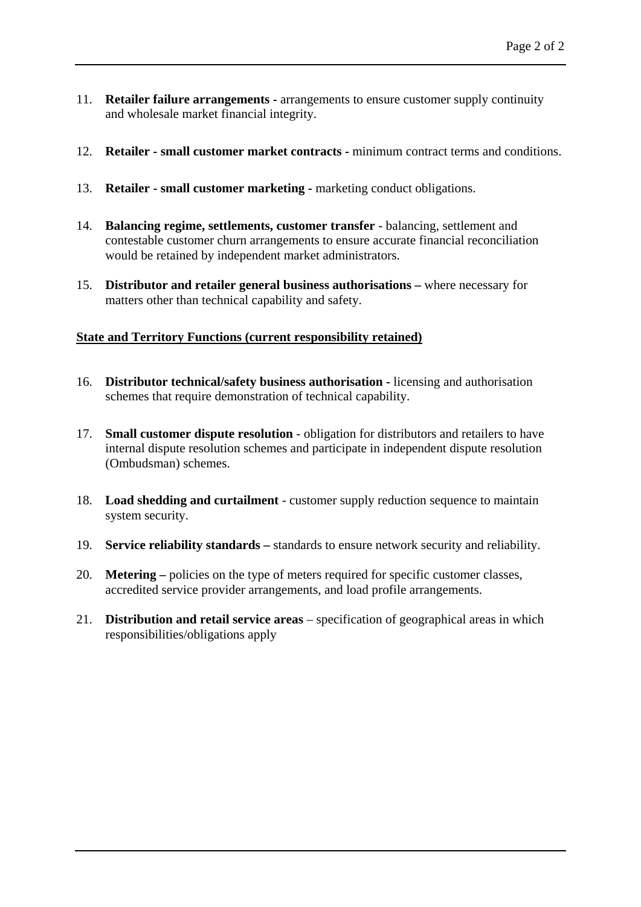- 11. **Retailer failure arrangements** arrangements to ensure customer supply continuity and wholesale market financial integrity.
- 12. **Retailer small customer market contracts** minimum contract terms and conditions.
- 13. **Retailer small customer marketing -** marketing conduct obligations.
- 14. **Balancing regime, settlements, customer transfer** balancing, settlement and contestable customer churn arrangements to ensure accurate financial reconciliation would be retained by independent market administrators.
- 15. **Distributor and retailer general business authorisations** where necessary for matters other than technical capability and safety.

# **State and Territory Functions (current responsibility retained)**

- 16. **Distributor technical/safety business authorisation** licensing and authorisation schemes that require demonstration of technical capability.
- 17. **Small customer dispute resolution** obligation for distributors and retailers to have internal dispute resolution schemes and participate in independent dispute resolution (Ombudsman) schemes.
- 18. **Load shedding and curtailment** customer supply reduction sequence to maintain system security.
- 19. **Service reliability standards** standards to ensure network security and reliability.
- 20. **Metering –** policies on the type of meters required for specific customer classes, accredited service provider arrangements, and load profile arrangements.
- 21. **Distribution and retail service areas** specification of geographical areas in which responsibilities/obligations apply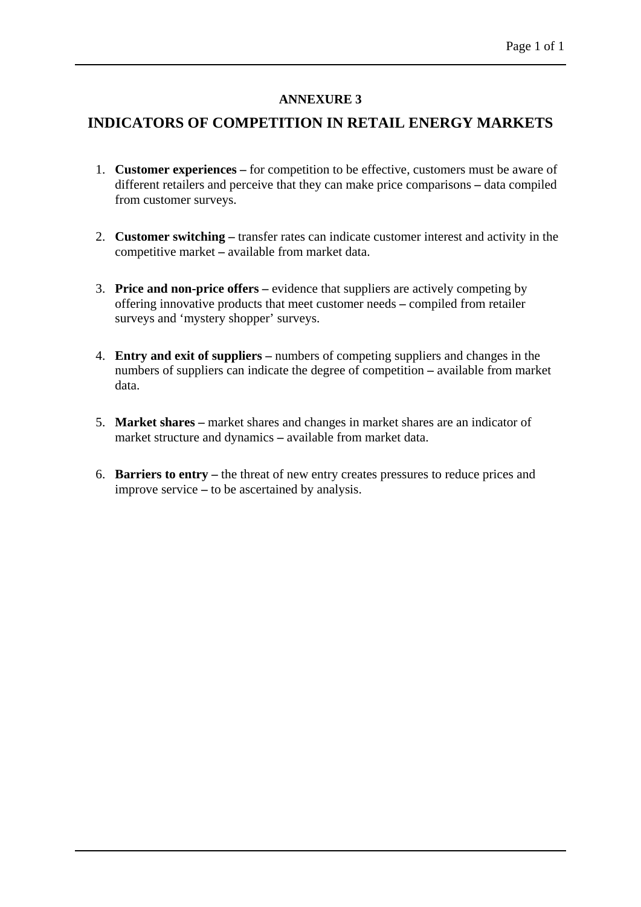# **ANNEXURE 3**

# <span id="page-39-0"></span>**INDICATORS OF COMPETITION IN RETAIL ENERGY MARKETS**

- 1. **Customer experiences –** for competition to be effective, customers must be aware of different retailers and perceive that they can make price comparisons **–** data compiled from customer surveys.
- 2. **Customer switching –** transfer rates can indicate customer interest and activity in the competitive market **–** available from market data.
- 3. **Price and non-price offers –** evidence that suppliers are actively competing by offering innovative products that meet customer needs **–** compiled from retailer surveys and 'mystery shopper' surveys.
- 4. **Entry and exit of suppliers –** numbers of competing suppliers and changes in the numbers of suppliers can indicate the degree of competition **–** available from market data.
- 5. **Market shares –** market shares and changes in market shares are an indicator of market structure and dynamics **–** available from market data.
- 6. **Barriers to entry –** the threat of new entry creates pressures to reduce prices and improve service **–** to be ascertained by analysis.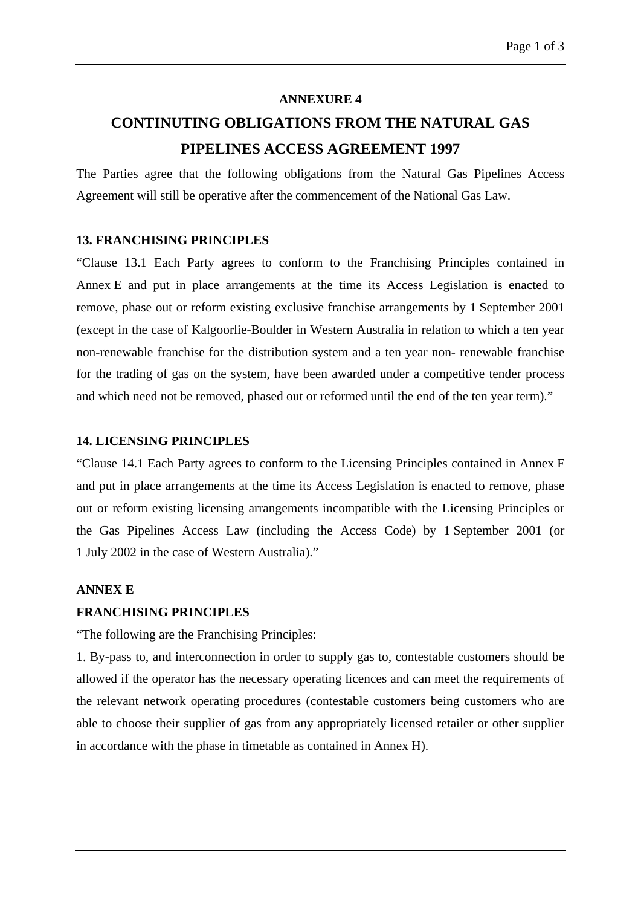#### **ANNEXURE 4**

# **CONTINUTING OBLIGATIONS FROM THE NATURAL GAS PIPELINES ACCESS AGREEMENT 1997**

The Parties agree that the following obligations from the Natural Gas Pipelines Access Agreement will still be operative after the commencement of the National Gas Law.

#### **13. FRANCHISING PRINCIPLES**

"Clause 13.1 Each Party agrees to conform to the Franchising Principles contained in Annex E and put in place arrangements at the time its Access Legislation is enacted to remove, phase out or reform existing exclusive franchise arrangements by 1 September 2001 (except in the case of Kalgoorlie-Boulder in Western Australia in relation to which a ten year non-renewable franchise for the distribution system and a ten year non- renewable franchise for the trading of gas on the system, have been awarded under a competitive tender process and which need not be removed, phased out or reformed until the end of the ten year term)."

#### **14. LICENSING PRINCIPLES**

<span id="page-40-0"></span>"Clause 14.1 Each Party agrees to conform to the Licensing Principles contained in Annex F and put in place arrangements at the time its Access Legislation is enacted to remove, phase out or reform existing licensing arrangements incompatible with the Licensing Principles or the Gas Pipelines Access Law (including the Access Code) by 1 September 2001 (or 1 July 2002 in the case of Western Australia)."

#### **ANNEX E**

#### **FRANCHISING PRINCIPLES**

"The following are the Franchising Principles:

1. By-pass to, and interconnection in order to supply gas to, contestable customers should be allowed if the operator has the necessary operating licences and can meet the requirements of the relevant network operating procedures (contestable customers being customers who are able to choose their supplier of gas from any appropriately licensed retailer or other supplier in accordance with the phase in timetable as contained in Annex H).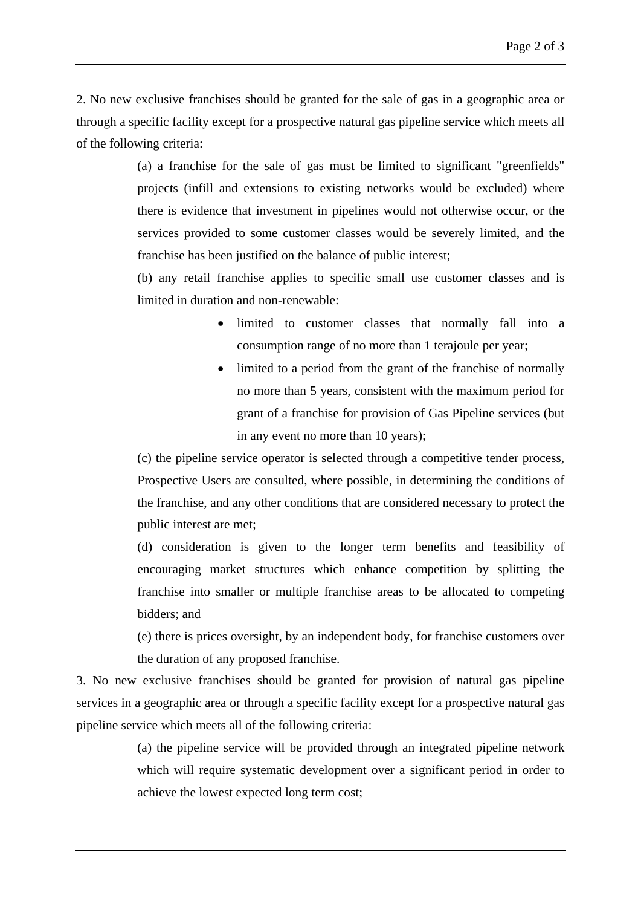2. No new exclusive franchises should be granted for the sale of gas in a geographic area or through a specific facility except for a prospective natural gas pipeline service which meets all of the following criteria:

> (a) a franchise for the sale of gas must be limited to significant "greenfields" projects (infill and extensions to existing networks would be excluded) where there is evidence that investment in pipelines would not otherwise occur, or the services provided to some customer classes would be severely limited, and the franchise has been justified on the balance of public interest;

> (b) any retail franchise applies to specific small use customer classes and is limited in duration and non-renewable:

- limited to customer classes that normally fall into a consumption range of no more than 1 terajoule per year;
- limited to a period from the grant of the franchise of normally no more than 5 years, consistent with the maximum period for grant of a franchise for provision of Gas Pipeline services (but in any event no more than 10 years);

(c) the pipeline service operator is selected through a competitive tender process, Prospective Users are consulted, where possible, in determining the conditions of the franchise, and any other conditions that are considered necessary to protect the public interest are met;

(d) consideration is given to the longer term benefits and feasibility of encouraging market structures which enhance competition by splitting the franchise into smaller or multiple franchise areas to be allocated to competing bidders; and

(e) there is prices oversight, by an independent body, for franchise customers over the duration of any proposed franchise.

3. No new exclusive franchises should be granted for provision of natural gas pipeline services in a geographic area or through a specific facility except for a prospective natural gas pipeline service which meets all of the following criteria:

> (a) the pipeline service will be provided through an integrated pipeline network which will require systematic development over a significant period in order to achieve the lowest expected long term cost;